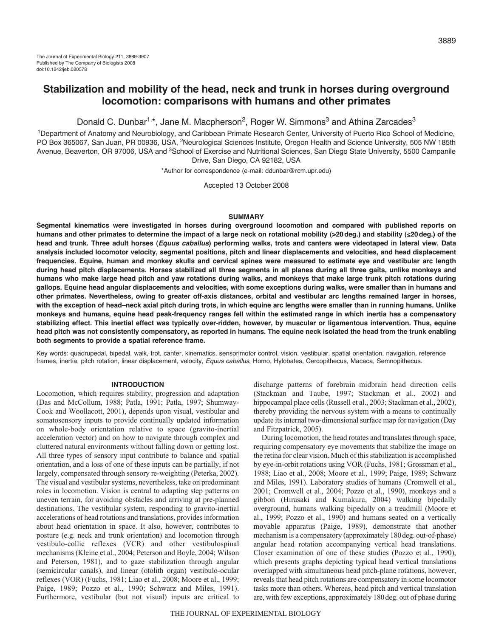# **Stabilization and mobility of the head, neck and trunk in horses during overground locomotion: comparisons with humans and other primates**

Donald C. Dunbar<sup>1,\*</sup>, Jane M. Macpherson<sup>2</sup>, Roger W. Simmons<sup>3</sup> and Athina Zarcades<sup>3</sup>

<sup>1</sup>Department of Anatomy and Neurobiology, and Caribbean Primate Research Center, University of Puerto Rico School of Medicine, PO Box 365067, San Juan, PR 00936, USA, <sup>2</sup>Neurological Sciences Institute, Oregon Health and Science University, 505 NW 185th Avenue, Beaverton, OR 97006, USA and <sup>3</sup>School of Exercise and Nutritional Sciences, San Diego State University, 5500 Campanile Drive, San Diego, CA 92182, USA

\*Author for correspondence (e-mail: ddunbar@rcm.upr.edu)

Accepted 13 October 2008

#### **SUMMARY**

**Segmental kinematics were investigated in horses during overground locomotion and compared with published reports on humans and other primates to determine the impact of a large neck on rotational mobility (>20deg.) and stability (≤20deg.) of the head and trunk. Three adult horses (***Equus caballus***) performing walks, trots and canters were videotaped in lateral view. Data analysis included locomotor velocity, segmental positions, pitch and linear displacements and velocities, and head displacement frequencies. Equine, human and monkey skulls and cervical spines were measured to estimate eye and vestibular arc length during head pitch displacements. Horses stabilized all three segments in all planes during all three gaits, unlike monkeys and humans who make large head pitch and yaw rotations during walks, and monkeys that make large trunk pitch rotations during gallops. Equine head angular displacements and velocities, with some exceptions during walks, were smaller than in humans and other primates. Nevertheless, owing to greater off-axis distances, orbital and vestibular arc lengths remained larger in horses, with the exception of head–neck axial pitch during trots, in which equine arc lengths were smaller than in running humans. Unlike monkeys and humans, equine head peak-frequency ranges fell within the estimated range in which inertia has a compensatory stabilizing effect. This inertial effect was typically over-ridden, however, by muscular or ligamentous intervention. Thus, equine head pitch was not consistently compensatory, as reported in humans. The equine neck isolated the head from the trunk enabling both segments to provide a spatial reference frame.**

Key words: quadrupedal, bipedal, walk, trot, canter, kinematics, sensorimotor control, vision, vestibular, spatial orientation, navigation, reference frames, inertia, pitch rotation, linear displacement, velocity, Equus caballus, Homo, Hylobates, Cercopithecus, Macaca, Semnopithecus.

# **INTRODUCTION**

Locomotion, which requires stability, progression and adaptation (Das and McCollum, 1988; Patla, 1991; Patla, 1997; Shumway-Cook and Woollacott, 2001), depends upon visual, vestibular and somatosensory inputs to provide continually updated information on whole-body orientation relative to space (gravito-inertial acceleration vector) and on how to navigate through complex and cluttered natural environments without falling down or getting lost. All three types of sensory input contribute to balance and spatial orientation, and a loss of one of these inputs can be partially, if not largely, compensated through sensory re-weighting (Peterka, 2002). The visual and vestibular systems, nevertheless, take on predominant roles in locomotion. Vision is central to adapting step patterns on uneven terrain, for avoiding obstacles and arriving at pre-planned destinations. The vestibular system, responding to gravito-inertial accelerations of head rotations and translations, provides information about head orientation in space. It also, however, contributes to posture (e.g. neck and trunk orientation) and locomotion through vestibulo-collic reflexes (VCR) and other vestibulospinal mechanisms (Kleine et al., 2004; Peterson and Boyle, 2004; Wilson and Peterson, 1981), and to gaze stabilization through angular (semicircular canals), and linear (otolith organ) vestibulo-ocular reflexes (VOR) (Fuchs, 1981; Liao et al., 2008; Moore et al., 1999; Paige, 1989; Pozzo et al., 1990; Schwarz and Miles, 1991). Furthermore, vestibular (but not visual) inputs are critical to

discharge patterns of forebrain–midbrain head direction cells (Stackman and Taube, 1997; Stackman et al., 2002) and hippocampal place cells (Russell et al., 2003; Stackman et al., 2002), thereby providing the nervous system with a means to continually update its internal two-dimensional surface map for navigation (Day and Fitzpatrick, 2005).

During locomotion, the head rotates and translates through space, requiring compensatory eye movements that stabilize the image on the retina for clear vision. Much of this stabilization is accomplished by eye-in-orbit rotations using VOR (Fuchs, 1981; Grossman et al., 1988; Liao et al., 2008; Moore et al., 1999; Paige, 1989; Schwarz and Miles, 1991). Laboratory studies of humans (Cromwell et al., 2001; Cromwell et al., 2004; Pozzo et al., 1990), monkeys and a gibbon (Hirasaki and Kumakura, 2004) walking bipedally overground, humans walking bipedally on a treadmill (Moore et al., 1999; Pozzo et al., 1990) and humans seated on a vertically movable apparatus (Paige, 1989), demonstrate that another mechanism is a compensatory (approximately 180deg. out-of-phase) angular head rotation accompanying vertical head translations. Closer examination of one of these studies (Pozzo et al., 1990), which presents graphs depicting typical head vertical translations overlapped with simultaneous head pitch-plane rotations, however, reveals that head pitch rotations are compensatory in some locomotor tasks more than others. Whereas, head pitch and vertical translation are, with few exceptions, approximately 180deg. out of phase during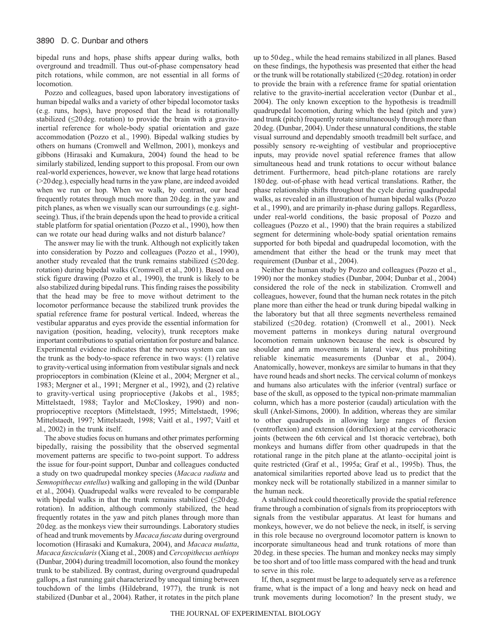bipedal runs and hops, phase shifts appear during walks, both overground and treadmill. Thus out-of-phase compensatory head pitch rotations, while common, are not essential in all forms of locomotion.

Pozzo and colleagues, based upon laboratory investigations of human bipedal walks and a variety of other bipedal locomotor tasks (e.g. runs, hops), have proposed that the head is rotationally stabilized  $(\leq 20 \deg$ . rotation) to provide the brain with a gravitoinertial reference for whole-body spatial orientation and gaze accommodation (Pozzo et al., 1990). Bipedal walking studies by others on humans (Cromwell and Wellmon, 2001), monkeys and gibbons (Hirasaki and Kumakura, 2004) found the head to be similarly stabilized, lending support to this proposal. From our own real-world experiences, however, we know that large head rotations (>20deg.), especially head turns in the yaw plane, are indeed avoided when we run or hop. When we walk, by contrast, our head frequently rotates through much more than 20deg. in the yaw and pitch planes, as when we visually scan our surroundings (e.g. sightseeing). Thus, if the brain depends upon the head to provide a critical stable platform for spatial orientation (Pozzo et al., 1990), how then can we rotate our head during walks and not disturb balance?

The answer may lie with the trunk. Although not explicitly taken into consideration by Pozzo and colleagues (Pozzo et al., 1990), another study revealed that the trunk remains stabilized  $(\leq 20 \deg$ . rotation) during bipedal walks (Cromwell et al., 2001). Based on a stick figure drawing (Pozzo et al., 1990), the trunk is likely to be also stabilized during bipedal runs. This finding raises the possibility that the head may be free to move without detriment to the locomotor performance because the stabilized trunk provides the spatial reference frame for postural vertical. Indeed, whereas the vestibular apparatus and eyes provide the essential information for navigation (position, heading, velocity), trunk receptors make important contributions to spatial orientation for posture and balance. Experimental evidence indicates that the nervous system can use the trunk as the body-to-space reference in two ways: (1) relative to gravity-vertical using information from vestibular signals and neck proprioceptors in combination (Kleine et al., 2004; Mergner et al., 1983; Mergner et al., 1991; Mergner et al., 1992), and (2) relative to gravity-vertical using proprioceptive (Jakobs et al., 1985; Mittelstaedt, 1988; Taylor and McCloskey, 1990) and nonproprioceptive receptors (Mittelstaedt, 1995; Mittelstaedt, 1996; Mittelstaedt, 1997; Mittelstaedt, 1998; Vaitl et al., 1997; Vaitl et al., 2002) in the trunk itself.

The above studies focus on humans and other primates performing bipedally, raising the possibility that the observed segmental movement patterns are specific to two-point support. To address the issue for four-point support, Dunbar and colleagues conducted a study on two quadrupedal monkey species (*Macaca radiata* and *Semnopithecus entellus*) walking and galloping in the wild (Dunbar et al., 2004). Quadrupedal walks were revealed to be comparable with bipedal walks in that the trunk remains stabilized  $(\leq 20 \deg$ . rotation). In addition, although commonly stabilized, the head frequently rotates in the yaw and pitch planes through more than 20deg. as the monkeys view their surroundings. Laboratory studies of head and trunk movements by *Macaca fuscata* during overground locomotion (Hirasaki and Kumakura, 2004), and *Macaca mulatta*, *Macaca fascicularis*(Xiang et al., 2008) and *Cercopithecus aethiops* (Dunbar, 2004) during treadmill locomotion, also found the monkey trunk to be stabilized. By contrast, during overground quadrupedal gallops, a fast running gait characterized by unequal timing between touchdown of the limbs (Hildebrand, 1977), the trunk is not stabilized (Dunbar et al., 2004). Rather, it rotates in the pitch plane up to 50deg., while the head remains stabilized in all planes. Based on these findings, the hypothesis was presented that either the head or the trunk will be rotationally stabilized (≤20deg. rotation) in order to provide the brain with a reference frame for spatial orientation relative to the gravito-inertial acceleration vector (Dunbar et al., 2004). The only known exception to the hypothesis is treadmill quadrupedal locomotion, during which the head (pitch and yaw) and trunk (pitch) frequently rotate simultaneously through more than 20deg. (Dunbar, 2004). Under these unnatural conditions, the stable visual surround and dependably smooth treadmill belt surface, and possibly sensory re-weighting of vestibular and proprioceptive inputs, may provide novel spatial reference frames that allow simultaneous head and trunk rotations to occur without balance detriment. Furthermore, head pitch-plane rotations are rarely 180deg. out-of-phase with head vertical translations. Rather, the phase relationship shifts throughout the cycle during quadrupedal walks, as revealed in an illustration of human bipedal walks (Pozzo et al., 1990), and are primarily in-phase during gallops. Regardless, under real-world conditions, the basic proposal of Pozzo and colleagues (Pozzo et al., 1990) that the brain requires a stabilized segment for determining whole-body spatial orientation remains supported for both bipedal and quadrupedal locomotion, with the amendment that either the head or the trunk may meet that requirement (Dunbar et al., 2004).

Neither the human study by Pozzo and colleagues (Pozzo et al., 1990) nor the monkey studies (Dunbar, 2004; Dunbar et al., 2004) considered the role of the neck in stabilization. Cromwell and colleagues, however, found that the human neck rotates in the pitch plane more than either the head or trunk during bipedal walking in the laboratory but that all three segments nevertheless remained stabilized (≤20 deg. rotation) (Cromwell et al., 2001). Neck movement patterns in monkeys during natural overground locomotion remain unknown because the neck is obscured by shoulder and arm movements in lateral view, thus prohibiting reliable kinematic measurements (Dunbar et al., 2004). Anatomically, however, monkeys are similar to humans in that they have round heads and short necks. The cervical column of monkeys and humans also articulates with the inferior (ventral) surface or base of the skull, as opposed to the typical non-primate mammalian column, which has a more posterior (caudal) articulation with the skull (Ankel-Simons, 2000). In addition, whereas they are similar to other quadrupeds in allowing large ranges of flexion (ventroflexion) and extension (dorsiflexion) at the cervicothoracic joints (between the 6th cervical and 1st thoracic vertebrae), both monkeys and humans differ from other quadrupeds in that the rotational range in the pitch plane at the atlanto–occipital joint is quite restricted (Graf et al., 1995a; Graf et al., 1995b). Thus, the anatomical similarities reported above lead us to predict that the monkey neck will be rotationally stabilized in a manner similar to the human neck.

A stabilized neck could theoretically provide the spatial reference frame through a combination of signals from its proprioceptors with signals from the vestibular apparatus. At least for humans and monkeys, however, we do not believe the neck, in itself, is serving in this role because no overground locomotor pattern is known to incorporate simultaneous head and trunk rotations of more than 20deg. in these species. The human and monkey necks may simply be too short and of too little mass compared with the head and trunk to serve in this role.

If, then, a segment must be large to adequately serve as a reference frame, what is the impact of a long and heavy neck on head and trunk movements during locomotion? In the present study, we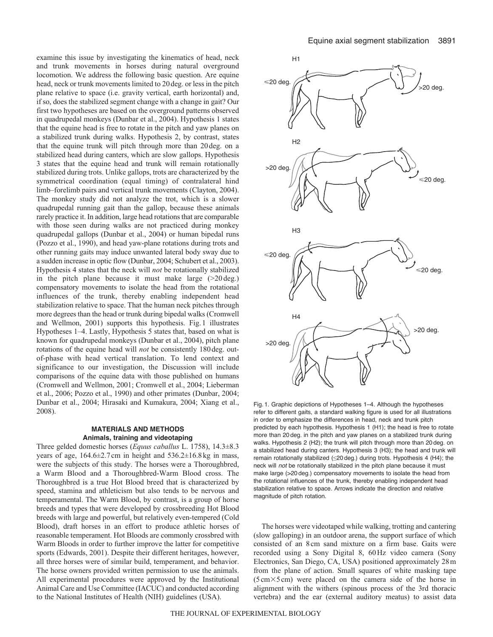examine this issue by investigating the kinematics of head, neck and trunk movements in horses during natural overground locomotion. We address the following basic question. Are equine head, neck or trunk movements limited to 20deg. or less in the pitch plane relative to space (i.e. gravity vertical, earth horizontal) and, if so, does the stabilized segment change with a change in gait? Our first two hypotheses are based on the overground patterns observed in quadrupedal monkeys (Dunbar et al., 2004). Hypothesis 1 states that the equine head is free to rotate in the pitch and yaw planes on a stabilized trunk during walks. Hypothesis 2, by contrast, states that the equine trunk will pitch through more than 20deg. on a stabilized head during canters, which are slow gallops. Hypothesis 3 states that the equine head and trunk will remain rotationally stabilized during trots. Unlike gallops, trots are characterized by the symmetrical coordination (equal timing) of contralateral hind limb–forelimb pairs and vertical trunk movements (Clayton, 2004). The monkey study did not analyze the trot, which is a slower quadrupedal running gait than the gallop, because these animals rarely practice it. In addition, large head rotations that are comparable with those seen during walks are not practiced during monkey quadrupedal gallops (Dunbar et al., 2004) or human bipedal runs (Pozzo et al., 1990), and head yaw-plane rotations during trots and other running gaits may induce unwanted lateral body sway due to a sudden increase in optic flow (Dunbar, 2004; Schubert et al., 2003). Hypothesis 4 states that the neck will *not* be rotationally stabilized in the pitch plane because it must make large (>20 deg.) compensatory movements to isolate the head from the rotational influences of the trunk, thereby enabling independent head stabilization relative to space. That the human neck pitches through more degrees than the head or trunk during bipedal walks (Cromwell and Wellmon, 2001) supports this hypothesis. Fig.1 illustrates Hypotheses 1–4. Lastly, Hypothesis 5 states that, based on what is known for quadrupedal monkeys (Dunbar et al., 2004), pitch plane rotations of the equine head will *not* be consistently 180deg. outof-phase with head vertical translation. To lend context and significance to our investigation, the Discussion will include comparisons of the equine data with those published on humans (Cromwell and Wellmon, 2001; Cromwell et al., 2004; Lieberman et al., 2006; Pozzo et al., 1990) and other primates (Dunbar, 2004; Dunbar et al., 2004; Hirasaki and Kumakura, 2004; Xiang et al., 2008).

# **MATERIALS AND METHODS Animals, training and videotaping**

Three gelded domestic horses (*Equus caballus* L. 1758), 14.3±8.3 years of age,  $164.6 \pm 2.7$  cm in height and  $536.2 \pm 16.8$  kg in mass, were the subjects of this study. The horses were a Thoroughbred, a Warm Blood and a Thoroughbred-Warm Blood cross. The Thoroughbred is a true Hot Blood breed that is characterized by speed, stamina and athleticism but also tends to be nervous and temperamental. The Warm Blood, by contrast, is a group of horse breeds and types that were developed by crossbreeding Hot Blood breeds with large and powerful, but relatively even-tempered (Cold Blood), draft horses in an effort to produce athletic horses of reasonable temperament. Hot Bloods are commonly crossbred with Warm Bloods in order to further improve the latter for competitive sports (Edwards, 2001). Despite their different heritages, however, all three horses were of similar build, temperament, and behavior. The horse owners provided written permission to use the animals. All experimental procedures were approved by the Institutional Animal Care and Use Committee (IACUC) and conducted according to the National Institutes of Health (NIH) guidelines (USA).



Fig. 1. Graphic depictions of Hypotheses 1–4. Although the hypotheses refer to different gaits, a standard walking figure is used for all illustrations in order to emphasize the differences in head, neck and trunk pitch predicted by each hypothesis. Hypothesis 1 (H1); the head is free to rotate more than 20 deg. in the pitch and yaw planes on a stabilized trunk during walks. Hypothesis 2 (H2); the trunk will pitch through more than 20 deg. on a stabilized head during canters. Hypothesis 3 (H3); the head and trunk will remain rotationally stabilized (≤20 deg.) during trots. Hypothesis 4 (H4); the neck will not be rotationally stabilized in the pitch plane because it must make large (>20 deg.) compensatory movements to isolate the head from the rotational influences of the trunk, thereby enabling independent head stabilization relative to space. Arrows indicate the direction and relative magnitude of pitch rotation.

The horses were videotaped while walking, trotting and cantering (slow galloping) in an outdoor arena, the support surface of which consisted of an 8cm sand mixture on a firm base. Gaits were recorded using a Sony Digital 8, 60 Hz video camera (Sony Electronics, San Diego, CA, USA) positioned approximately 28m from the plane of action. Small squares of white masking tape (5cm-5cm) were placed on the camera side of the horse in alignment with the withers (spinous process of the 3rd thoracic vertebra) and the ear (external auditory meatus) to assist data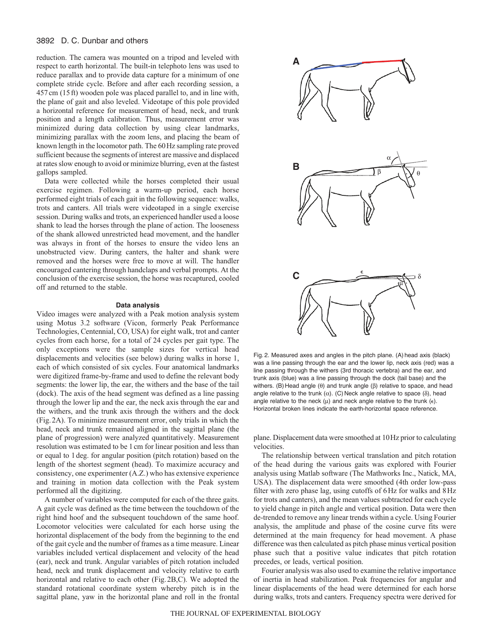reduction. The camera was mounted on a tripod and leveled with respect to earth horizontal. The built-in telephoto lens was used to reduce parallax and to provide data capture for a minimum of one complete stride cycle. Before and after each recording session, a 457cm (15ft) wooden pole was placed parallel to, and in line with, the plane of gait and also leveled. Videotape of this pole provided a horizontal reference for measurement of head, neck, and trunk position and a length calibration. Thus, measurement error was minimized during data collection by using clear landmarks, minimizing parallax with the zoom lens, and placing the beam of known length in the locomotor path. The 60Hz sampling rate proved sufficient because the segments of interest are massive and displaced at rates slow enough to avoid or minimize blurring, even at the fastest gallops sampled.

Data were collected while the horses completed their usual exercise regimen. Following a warm-up period, each horse performed eight trials of each gait in the following sequence: walks, trots and canters. All trials were videotaped in a single exercise session. During walks and trots, an experienced handler used a loose shank to lead the horses through the plane of action. The looseness of the shank allowed unrestricted head movement, and the handler was always in front of the horses to ensure the video lens an unobstructed view. During canters, the halter and shank were removed and the horses were free to move at will. The handler encouraged cantering through handclaps and verbal prompts. At the conclusion of the exercise session, the horse was recaptured, cooled off and returned to the stable.

#### **Data analysis**

Video images were analyzed with a Peak motion analysis system using Motus 3.2 software (Vicon, formerly Peak Performance Technologies, Centennial, CO, USA) for eight walk, trot and canter cycles from each horse, for a total of 24 cycles per gait type. The only exceptions were the sample sizes for vertical head displacements and velocities (see below) during walks in horse 1, each of which consisted of six cycles. Four anatomical landmarks were digitized frame-by-frame and used to define the relevant body segments: the lower lip, the ear, the withers and the base of the tail (dock). The axis of the head segment was defined as a line passing through the lower lip and the ear, the neck axis through the ear and the withers, and the trunk axis through the withers and the dock (Fig.2A). To minimize measurement error, only trials in which the head, neck and trunk remained aligned in the sagittal plane (the plane of progression) were analyzed quantitatively. Measurement resolution was estimated to be 1cm for linear position and less than or equal to 1deg. for angular position (pitch rotation) based on the length of the shortest segment (head). To maximize accuracy and consistency, one experimenter (A.Z.) who has extensive experience and training in motion data collection with the Peak system performed all the digitizing.

A number of variables were computed for each of the three gaits. A gait cycle was defined as the time between the touchdown of the right hind hoof and the subsequent touchdown of the same hoof. Locomotor velocities were calculated for each horse using the horizontal displacement of the body from the beginning to the end of the gait cycle and the number of frames as a time measure. Linear variables included vertical displacement and velocity of the head (ear), neck and trunk. Angular variables of pitch rotation included head, neck and trunk displacement and velocity relative to earth horizontal and relative to each other (Fig.2B,C). We adopted the standard rotational coordinate system whereby pitch is in the sagittal plane, yaw in the horizontal plane and roll in the frontal



Fig. 2. Measured axes and angles in the pitch plane. (A) head axis (black) was a line passing through the ear and the lower lip, neck axis (red) was a line passing through the withers (3rd thoracic vertebra) and the ear, and trunk axis (blue) was a line passing through the dock (tail base) and the withers. (B) Head angle (θ) and trunk angle (β) relative to space, and head angle relative to the trunk ( $\alpha$ ). (C) Neck angle relative to space ( $\delta$ ), head angle relative to the neck ( $\mu$ ) and neck angle relative to the trunk ( $\epsilon$ ). Horizontal broken lines indicate the earth-horizontal space reference.

plane. Displacement data were smoothed at 10Hz prior to calculating velocities.

The relationship between vertical translation and pitch rotation of the head during the various gaits was explored with Fourier analysis using Matlab software (The Mathworks Inc., Natick, MA, USA). The displacement data were smoothed (4th order low-pass filter with zero phase lag, using cutoffs of 6Hz for walks and 8Hz for trots and canters), and the mean values subtracted for each cycle to yield change in pitch angle and vertical position. Data were then de-trended to remove any linear trends within a cycle. Using Fourier analysis, the amplitude and phase of the cosine curve fits were determined at the main frequency for head movement. A phase difference was then calculated as pitch phase minus vertical position phase such that a positive value indicates that pitch rotation precedes, or leads, vertical position.

Fourier analysis was also used to examine the relative importance of inertia in head stabilization. Peak frequencies for angular and linear displacements of the head were determined for each horse during walks, trots and canters. Frequency spectra were derived for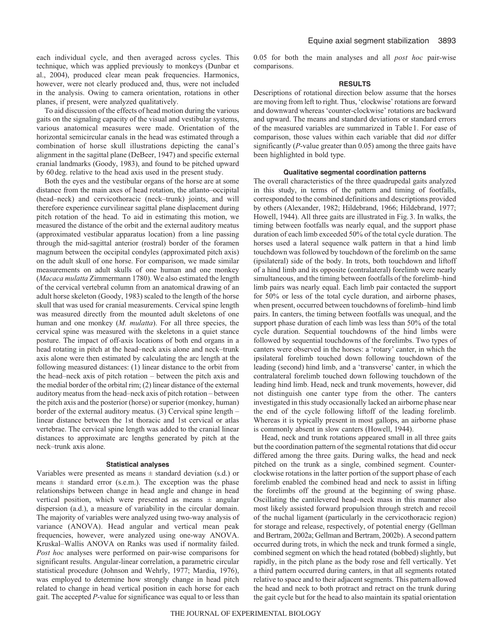each individual cycle, and then averaged across cycles. This technique, which was applied previously to monkeys (Dunbar et al., 2004), produced clear mean peak frequencies. Harmonics, however, were not clearly produced and, thus, were not included in the analysis. Owing to camera orientation, rotations in other planes, if present, were analyzed qualitatively.

To aid discussion of the effects of head motion during the various gaits on the signaling capacity of the visual and vestibular systems, various anatomical measures were made. Orientation of the horizontal semicircular canals in the head was estimated through a combination of horse skull illustrations depicting the canal's alignment in the sagittal plane (DeBeer, 1947) and specific external cranial landmarks (Goody, 1983), and found to be pitched upward by 60deg. relative to the head axis used in the present study.

Both the eyes and the vestibular organs of the horse are at some distance from the main axes of head rotation, the atlanto–occipital (head–neck) and cervicothoracic (neck–trunk) joints, and will therefore experience curvilinear sagittal plane displacement during pitch rotation of the head. To aid in estimating this motion, we measured the distance of the orbit and the external auditory meatus (approximated vestibular apparatus location) from a line passing through the mid-sagittal anterior (rostral) border of the foramen magnum between the occipital condyles (approximated pitch axis) on the adult skull of one horse. For comparison, we made similar measurements on adult skulls of one human and one monkey (*Macaca mulatta* Zimmermann 1780). We also estimated the length of the cervical vertebral column from an anatomical drawing of an adult horse skeleton (Goody, 1983) scaled to the length of the horse skull that was used for cranial measurements. Cervical spine length was measured directly from the mounted adult skeletons of one human and one monkey (*M. mulatta*). For all three species, the cervical spine was measured with the skeletons in a quiet stance posture. The impact of off-axis locations of both end organs in a head rotating in pitch at the head–neck axis alone and neck–trunk axis alone were then estimated by calculating the arc length at the following measured distances: (1) linear distance to the orbit from the head–neck axis of pitch rotation – between the pitch axis and the medial border of the orbital rim; (2) linear distance of the external auditory meatus from the head–neck axis of pitch rotation – between the pitch axis and the posterior (horse) or superior (monkey, human) border of the external auditory meatus. (3) Cervical spine length – linear distance between the 1st thoracic and 1st cervical or atlas vertebrae. The cervical spine length was added to the cranial linear distances to approximate arc lengths generated by pitch at the neck–trunk axis alone.

#### **Statistical analyses**

Variables were presented as means  $\pm$  standard deviation (s.d.) or means  $\pm$  standard error (s.e.m.). The exception was the phase relationships between change in head angle and change in head vertical position, which were presented as means  $\pm$  angular dispersion (a.d.), a measure of variability in the circular domain. The majority of variables were analyzed using two-way analysis of variance (ANOVA). Head angular and vertical mean peak frequencies, however, were analyzed using one-way ANOVA. Kruskal–Wallis ANOVA on Ranks was used if normality failed. *Post hoc* analyses were performed on pair-wise comparisons for significant results. Angular-linear correlation, a parametric circular statistical procedure (Johnson and Wehrly, 1977; Mardia, 1976), was employed to determine how strongly change in head pitch related to change in head vertical position in each horse for each gait. The accepted *P*-value for significance was equal to or less than

0.05 for both the main analyses and all *post hoc* pair-wise comparisons.

#### **RESULTS**

Descriptions of rotational direction below assume that the horses are moving from left to right. Thus, 'clockwise' rotations are forward and downward whereas 'counter-clockwise' rotations are backward and upward. The means and standard deviations or standard errors of the measured variables are summarized in Table1. For ease of comparison, those values within each variable that did *not* differ significantly (*P*-value greater than 0.05) among the three gaits have been highlighted in bold type.

### **Qualitative segmental coordination patterns**

The overall characteristics of the three quadrupedal gaits analyzed in this study, in terms of the pattern and timing of footfalls, corresponded to the combined definitions and descriptions provided by others (Alexander, 1982; Hildebrand, 1966; Hildebrand, 1977; Howell, 1944). All three gaits are illustrated in Fig.3. In walks, the timing between footfalls was nearly equal, and the support phase duration of each limb exceeded 50% of the total cycle duration. The horses used a lateral sequence walk pattern in that a hind limb touchdown was followed by touchdown of the forelimb on the same (ipsilateral) side of the body. In trots, both touchdown and liftoff of a hind limb and its opposite (contralateral) forelimb were nearly simultaneous, and the timing between footfalls of the forelimb–hind limb pairs was nearly equal. Each limb pair contacted the support for 50% or less of the total cycle duration, and airborne phases, when present, occurred between touchdowns of forelimb–hind limb pairs. In canters, the timing between footfalls was unequal, and the support phase duration of each limb was less than 50% of the total cycle duration. Sequential touchdowns of the hind limbs were followed by sequential touchdowns of the forelimbs. Two types of canters were observed in the horses: a 'rotary' canter, in which the ipsilateral forelimb touched down following touchdown of the leading (second) hind limb, and a 'transverse' canter, in which the contralateral forelimb touched down following touchdown of the leading hind limb. Head, neck and trunk movements, however, did not distinguish one canter type from the other. The canters investigated in this study occasionally lacked an airborne phase near the end of the cycle following liftoff of the leading forelimb. Whereas it is typically present in most gallops, an airborne phase is commonly absent in slow canters (Howell, 1944).

Head, neck and trunk rotations appeared small in all three gaits but the coordination pattern of the segmental rotations that did occur differed among the three gaits. During walks, the head and neck pitched on the trunk as a single, combined segment. Counterclockwise rotations in the latter portion of the support phase of each forelimb enabled the combined head and neck to assist in lifting the forelimbs off the ground at the beginning of swing phase. Oscillating the cantilevered head–neck mass in this manner also most likely assisted forward propulsion through stretch and recoil of the nuchal ligament (particularly in the cervicothoracic region) for storage and release, respectively, of potential energy (Gellman and Bertram, 2002a; Gellman and Bertram, 2002b). A second pattern occurred during trots, in which the neck and trunk formed a single, combined segment on which the head rotated (bobbed) slightly, but rapidly, in the pitch plane as the body rose and fell vertically. Yet a third pattern occurred during canters, in that all segments rotated relative to space and to their adjacent segments. This pattern allowed the head and neck to both protract and retract on the trunk during the gait cycle but for the head to also maintain its spatial orientation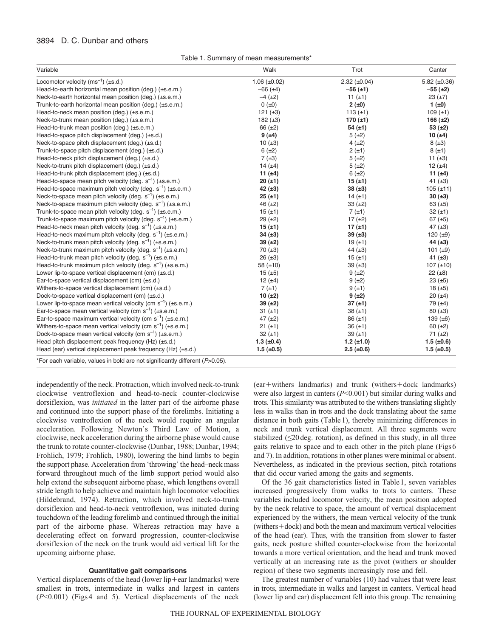Table 1. Summary of mean measurements\*

| Variable                                                                     | Walk              | Trot                | Canter              |
|------------------------------------------------------------------------------|-------------------|---------------------|---------------------|
| Locomotor velocity $(ms^{-1})$ ( $\pm$ s.d.)                                 | $1.06 (\pm 0.02)$ | $2.32 \ (\pm 0.04)$ | $5.82 \ (\pm 0.36)$ |
| Head-to-earth horizontal mean position (deg.) (±s.e.m.)                      | $-66$ ( $\pm 4$ ) | $-56$ ( $\pm$ 1)    | $-55$ ( $\pm 2$ )   |
| Neck-to-earth horizontal mean position (deg.) (±s.e.m.)                      | $-4$ ( $\pm 2$ )  | 11 $(\pm 1)$        | $23 (+7)$           |
| Trunk-to-earth horizontal mean position (deg.) (±s.e.m.)                     | $0 (+0)$          | $2 (+0)$            | 1 ( $\pm 0$ )       |
| Head-to-neck mean position (deg.) (±s.e.m.)                                  | 121 $(\pm 3)$     | 113 $(\pm 1)$       | $109 (+1)$          |
| Neck-to-trunk mean position (deg.) (±s.e.m.)                                 | 182 $(\pm 3)$     | 170(.1)             | $166 (\pm 2)$       |
| Head-to-trunk mean position (deg.) (±s.e.m.)                                 | 66 $(\pm 2)$      | 54 $(\pm 1)$        | 53 $(\pm 2)$        |
| Head-to-space pitch displacement (deg.) (±s.d.)                              | $9 (+4)$          | 5(±2)               | 10 $(±4)$           |
| Neck-to-space pitch displacement (deg.) (±s.d.)                              | 10 $(±3)$         | $4(\pm 2)$          | $8 (+3)$            |
| Trunk-to-space pitch displacement (deg.) (±s.d.)                             | $6 (+2)$          | $2(+1)$             | $8(+1)$             |
| Head-to-neck pitch displacement (deg.) (±s.d.)                               | $7(\pm 3)$        | 5(±2)               | 11 $(\pm 3)$        |
| Neck-to-trunk pitch displacement (deg.) (±s.d.)                              | 14 $(±4)$         | 5(±2)               | 12 $(±4)$           |
| Head-to-trunk pitch displacement (deg.) (±s.d.)                              | 11 $(±4)$         | $6 (+2)$            | 11 $(±4)$           |
| Head-to-space mean pitch velocity (deg. $s^{-1}$ ) ( $\pm s.e.m.$ )          | 20(.1)            | 15 $(\pm 1)$        | 41 $(\pm 3)$        |
| Head-to-space maximum pitch velocity (deg. $s^{-1}$ ) (±s.e.m.)              | $42 \ (\pm 3)$    | $38 (+3)$           | $105 (\pm 11)$      |
| Neck-to-space mean pitch velocity (deg. $s^{-1}$ ) (±s.e.m.)                 | $25(+1)$          | 14 $(\pm 1)$        | 30(.13)             |
| Neck-to-space maximum pitch velocity (deg. $s^{-1}$ ) (±s.e.m.)              | 46 $(\pm 2)$      | 33 $(+2)$           | 63 $(\pm 5)$        |
| Trunk-to-space mean pitch velocity (deg. $s^{-1}$ ) ( $\pm$ s.e.m.)          | $15(+1)$          | $7(\pm 1)$          | $32 (+1)$           |
| Trunk-to-space maximum pitch velocity (deg. $s^{-1}$ ) ( $\pm s.e.m.$ )      | $29(+2)$          | 17 $(\pm 2)$        | 67 $(\pm 5)$        |
| Head-to-neck mean pitch velocity (deg. $s^{-1}$ ) ( $\pm s.e.m.$ )           | $15(+1)$          | 17 $(±1)$           | 47 $(\pm 3)$        |
| Head-to-neck maximum pitch velocity (deg. $s^{-1}$ ) (±s.e.m.)               | 34 $(±3)$         | 39 $(\pm 3)$        | 120 $(\pm 9)$       |
| Neck-to-trunk mean pitch velocity (deg. $s^{-1}$ ) ( $\pm s.e.m.$ )          | 39 $(±2)$         | 19 $(±1)$           | 44 $(\pm 3)$        |
| Neck-to-trunk maximum pitch velocity (deg. s <sup>-1</sup> ) (±s.e.m.)       | 70 $(\pm 3)$      | 44 $(\pm 3)$        | 101 $(\pm 9)$       |
| Head-to-trunk mean pitch velocity (deg. $s^{-1}$ ) (±s.e.m.)                 | 26(.13)           | 15 $(\pm 1)$        | 41 $(\pm 3)$        |
| Head-to-trunk maximum pitch velocity (deg. $s^{-1}$ ) (±s.e.m.)              | 58 $(\pm 10)$     | 39 $(\pm 3)$        | $107 (\pm 10)$      |
| Lower lip-to-space vertical displacement (cm) (±s.d.)                        | 15 $(\pm 5)$      | $9 (+2)$            | $22 (\pm 8)$        |
| Ear-to-space vertical displacement (cm) $(\pm s.d.)$                         | 12 $(±4)$         | $9 (+2)$            | 23(.±5)             |
| Withers-to-space vertical displacement (cm) $(\pm s.d.)$                     | $7(\pm 1)$        | $9 (+1)$            | 18 $(±5)$           |
| Dock-to-space vertical displacement (cm) (±s.d.)                             | 10 $(±2)$         | $9 (+2)$            | 20(.4)              |
| Lower lip-to-space mean vertical velocity (cm $s^{-1}$ ) ( $\pm s.e.m.$ )    | 39 $(±2)$         | 37 $(±1)$           | 79 $(±4)$           |
| Ear-to-space mean vertical velocity (cm $s^{-1}$ ) (±s.e.m.)                 | 31 $(\pm 1)$      | 38 $(\pm 1)$        | $80 (\pm 3)$        |
| Ear-to-space maximum vertical velocity (cm $s^{-1}$ ) (±s.e.m.)              | 47 $(\pm 2)$      | $86 (\pm 1)$        | 139 $(\pm 6)$       |
| Withers-to-space mean vertical velocity (cm $s^{-1}$ ) (±s.e.m.)             | $21 (\pm 1)$      | 36 $(\pm 1)$        | 60 $(\pm 2)$        |
| Dock-to-space mean vertical velocity (cm $s^{-1}$ ) (±s.e.m.)                | $32 (+1)$         | 39 $(\pm 1)$        | 71 $(\pm 2)$        |
| Head pitch displacement peak frequency (Hz) (±s.d.)                          | $1.3 \ (\pm 0.4)$ | $1.2 \ (\pm 1.0)$   | $1.5 \ (\pm 0.6)$   |
| Head (ear) vertical displacement peak frequency (Hz) (±s.d.)                 | $1.5 \ (\pm 0.5)$ | $2.5 \ (\pm 0.6)$   | $1.5 \ (\pm 0.5)$   |
| *For each variable, values in bold are not significantly different (P>0.05). |                   |                     |                     |

independently of the neck. Protraction, which involved neck-to-trunk clockwise ventroflexion and head-to-neck counter-clockwise dorsiflexion, was *initiated* in the latter part of the airborne phase and continued into the support phase of the forelimbs. Initiating a clockwise ventroflexion of the neck would require an angular acceleration. Following Newton's Third Law of Motion, a clockwise, neck acceleration during the airborne phase would cause the trunk to rotate counter-clockwise (Dunbar, 1988; Dunbar, 1994; Frohlich, 1979; Frohlich, 1980), lowering the hind limbs to begin the support phase. Acceleration from 'throwing' the head–neck mass forward throughout much of the limb support period would also help extend the subsequent airborne phase, which lengthens overall stride length to help achieve and maintain high locomotor velocities (Hildebrand, 1974). Retraction, which involved neck-to-trunk dorsiflexion and head-to-neck ventroflexion, was initiated during touchdown of the leading forelimb and continued through the initial part of the airborne phase. Whereas retraction may have a decelerating effect on forward progression, counter-clockwise dorsiflexion of the neck on the trunk would aid vertical lift for the upcoming airborne phase.

#### **Quantitative gait comparisons**

Vertical displacements of the head (lower lip+ear landmarks) were smallest in trots, intermediate in walks and largest in canters (*P*<0.001) (Figs 4 and 5). Vertical displacements of the neck  $(ear+withers landmarks)$  and trunk  $(withers+dock landmarks)$ were also largest in canters (*P*<0.001) but similar during walks and trots. This similarity was attributed to the withers translating slightly less in walks than in trots and the dock translating about the same distance in both gaits (Table1), thereby minimizing differences in neck and trunk vertical displacement. All three segments were stabilized (≤20deg. rotation), as defined in this study, in all three gaits relative to space and to each other in the pitch plane (Figs6 and 7). In addition, rotations in other planes were minimal or absent. Nevertheless, as indicated in the previous section, pitch rotations that did occur varied among the gaits and segments.

Of the 36 gait characteristics listed in Table1, seven variables increased progressively from walks to trots to canters. These variables included locomotor velocity, the mean position adopted by the neck relative to space, the amount of vertical displacement experienced by the withers, the mean vertical velocity of the trunk (withers $+\text{deck}$ ) and both the mean and maximum vertical velocities of the head (ear). Thus, with the transition from slower to faster gaits, neck posture shifted counter-clockwise from the horizontal towards a more vertical orientation, and the head and trunk moved vertically at an increasing rate as the pivot (withers or shoulder region) of these two segments increasingly rose and fell.

The greatest number of variables (10) had values that were least in trots, intermediate in walks and largest in canters. Vertical head (lower lip and ear) displacement fell into this group. The remaining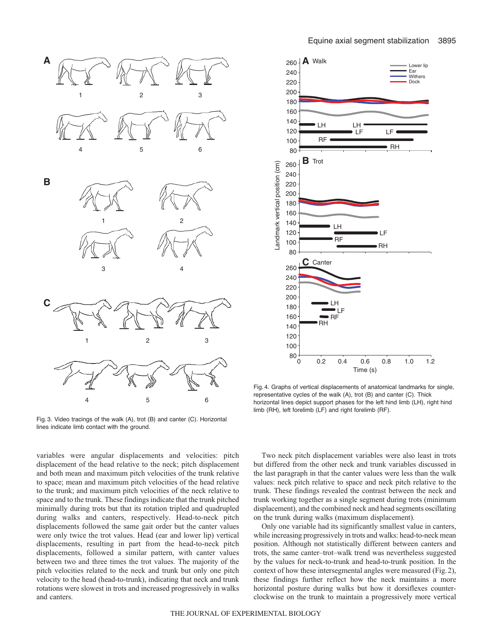

Fig. 3. Video tracings of the walk (A), trot (B) and canter (C). Horizontal lines indicate limb contact with the ground.

variables were angular displacements and velocities: pitch displacement of the head relative to the neck; pitch displacement and both mean and maximum pitch velocities of the trunk relative to space; mean and maximum pitch velocities of the head relative to the trunk; and maximum pitch velocities of the neck relative to space and to the trunk. These findings indicate that the trunk pitched minimally during trots but that its rotation tripled and quadrupled during walks and canters, respectively. Head-to-neck pitch displacements followed the same gait order but the canter values were only twice the trot values. Head (ear and lower lip) vertical displacements, resulting in part from the head-to-neck pitch displacements, followed a similar pattern, with canter values between two and three times the trot values. The majority of the pitch velocities related to the neck and trunk but only one pitch velocity to the head (head-to-trunk), indicating that neck and trunk rotations were slowest in trots and increased progressively in walks and canters.



Fig. 4. Graphs of vertical displacements of anatomical landmarks for single, representative cycles of the walk (A), trot (B) and canter (C). Thick horizontal lines depict support phases for the left hind limb (LH), right hind limb (RH), left forelimb (LF) and right forelimb (RF).

Two neck pitch displacement variables were also least in trots but differed from the other neck and trunk variables discussed in the last paragraph in that the canter values were less than the walk values: neck pitch relative to space and neck pitch relative to the trunk. These findings revealed the contrast between the neck and trunk working together as a single segment during trots (minimum displacement), and the combined neck and head segments oscillating on the trunk during walks (maximum displacement).

Only one variable had its significantly smallest value in canters, while increasing progressively in trots and walks: head-to-neck mean position. Although not statistically different between canters and trots, the same canter–trot–walk trend was nevertheless suggested by the values for neck-to-trunk and head-to-trunk position. In the context of how these intersegmental angles were measured (Fig.2), these findings further reflect how the neck maintains a more horizontal posture during walks but how it dorsiflexes counterclockwise on the trunk to maintain a progressively more vertical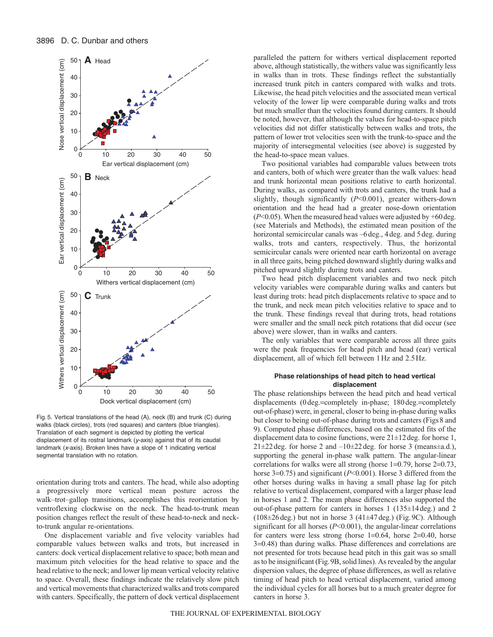

Fig. 5. Vertical translations of the head (A), neck (B) and trunk (C) during walks (black circles), trots (red squares) and canters (blue triangles). Translation of each segment is depicted by plotting the vertical displacement of its rostral landmark (y-axis) against that of its caudal landmark (x-axis). Broken lines have a slope of 1 indicating vertical segmental translation with no rotation.

orientation during trots and canters. The head, while also adopting a progressively more vertical mean posture across the walk–trot–gallop transitions, accomplishes this reorientation by ventroflexing clockwise on the neck. The head-to-trunk mean position changes reflect the result of these head-to-neck and neckto-trunk angular re-orientations.

One displacement variable and five velocity variables had comparable values between walks and trots, but increased in canters: dock vertical displacement relative to space; both mean and maximum pitch velocities for the head relative to space and the head relative to the neck; and lower lip mean vertical velocity relative to space. Overall, these findings indicate the relatively slow pitch and vertical movements that characterized walks and trots compared with canters. Specifically, the pattern of dock vertical displacement paralleled the pattern for withers vertical displacement reported above, although statistically, the withers value was significantly less in walks than in trots. These findings reflect the substantially increased trunk pitch in canters compared with walks and trots. Likewise, the head pitch velocities and the associated mean vertical velocity of the lower lip were comparable during walks and trots but much smaller than the velocities found during canters. It should be noted, however, that although the values for head-to-space pitch velocities did not differ statistically between walks and trots, the pattern of lower trot velocities seen with the trunk-to-space and the majority of intersegmental velocities (see above) is suggested by the head-to-space mean values.

Two positional variables had comparable values between trots and canters, both of which were greater than the walk values: head and trunk horizontal mean positions relative to earth horizontal. During walks, as compared with trots and canters, the trunk had a slightly, though significantly (*P*<0.001), greater withers-down orientation and the head had a greater nose-down orientation  $(P<0.05)$ . When the measured head values were adjusted by  $+60$  deg. (see Materials and Methods), the estimated mean position of the horizontal semicircular canals was -6 deg., 4 deg. and 5 deg. during walks, trots and canters, respectively. Thus, the horizontal semicircular canals were oriented near earth horizontal on average in all three gaits, being pitched downward slightly during walks and pitched upward slightly during trots and canters.

Two head pitch displacement variables and two neck pitch velocity variables were comparable during walks and canters but least during trots: head pitch displacements relative to space and to the trunk, and neck mean pitch velocities relative to space and to the trunk. These findings reveal that during trots, head rotations were smaller and the small neck pitch rotations that did occur (see above) were slower, than in walks and canters.

The only variables that were comparable across all three gaits were the peak frequencies for head pitch and head (ear) vertical displacement, all of which fell between 1Hz and 2.5Hz.

# **Phase relationships of head pitch to head vertical displacement**

The phase relationships between the head pitch and head vertical displacements (0deg.=completely in-phase; 180deg.=completely out-of-phase) were, in general, closer to being in-phase during walks but closer to being out-of-phase during trots and canters (Figs 8 and 9). Computed phase differences, based on the estimated fits of the displacement data to cosine functions, were  $21 \pm 12$  deg. for horse 1, 21 $\pm$ 22 deg. for horse 2 and  $-10\pm$ 22 deg. for horse 3 (means $\pm$ a.d.), supporting the general in-phase walk pattern. The angular-linear correlations for walks were all strong (horse 1=0.79, horse 2=0.73, horse 3=0.75) and significant (*P*<0.001). Horse 3 differed from the other horses during walks in having a small phase lag for pitch relative to vertical displacement, compared with a larger phase lead in horses 1 and 2. The mean phase differences also supported the out-of-phase pattern for canters in horses 1 (135±14deg.) and 2  $(108\pm26$  deg.) but not in horse 3  $(41\pm47$  deg.) (Fig. 9C). Although significant for all horses (*P*<0.001), the angular-linear correlations for canters were less strong (horse 1=0.64, horse 2=0.40, horse 3=0.48) than during walks. Phase differences and correlations are not presented for trots because head pitch in this gait was so small as to be insignificant (Fig.9B, solid lines). As revealed by the angular dispersion values, the degree of phase differences, as well as relative timing of head pitch to head vertical displacement, varied among the individual cycles for all horses but to a much greater degree for canters in horse 3.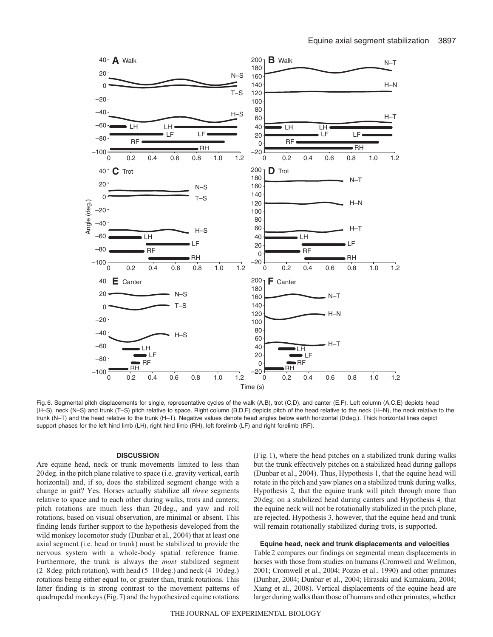

Fig. 6. Segmental pitch displacements for single, representative cycles of the walk (A,B), trot (C,D), and canter (E,F). Left column (A,C,E) depicts head (H–S), neck (N–S) and trunk (T–S) pitch relative to space. Right column (B,D,F) depicts pitch of the head relative to the neck (H–N), the neck relative to the trunk (N–T) and the head relative to the trunk (H–T). Negative values denote head angles below earth horizontal (0 deg.). Thick horizontal lines depict support phases for the left hind limb (LH), right hind limb (RH), left forelimb (LF) and right forelimb (RF).

### **DISCUSSION**

Are equine head, neck or trunk movements limited to less than 20deg. in the pitch plane relative to space (i.e. gravity vertical, earth horizontal) and, if so, does the stabilized segment change with a change in gait? Yes. Horses actually stabilize all *three* segments relative to space and to each other during walks, trots and canters; pitch rotations are much less than 20deg., and yaw and roll rotations, based on visual observation, are minimal or absent. This finding lends further support to the hypothesis developed from the wild monkey locomotor study (Dunbar et al., 2004) that at least one axial segment (i.e. head or trunk) must be stabilized to provide the nervous system with a whole-body spatial reference frame. Furthermore, the trunk is always the *most* stabilized segment (2–8deg. pitch rotation), with head (5–10deg.) and neck (4–10deg.) rotations being either equal to, or greater than, trunk rotations. This latter finding is in strong contrast to the movement patterns of quadrupedal monkeys (Fig.7) and the hypothesized equine rotations

(Fig.1), where the head pitches on a stabilized trunk during walks but the trunk effectively pitches on a stabilized head during gallops (Dunbar et al., 2004). Thus, Hypothesis 1, that the equine head will rotate in the pitch and yaw planes on a stabilized trunk during walks, Hypothesis 2*,* that the equine trunk will pitch through more than 20deg. on a stabilized head during canters and Hypothesis 4*,* that the equine neck will not be rotationally stabilized in the pitch plane, are rejected. Hypothesis 3, however, that the equine head and trunk will remain rotationally stabilized during trots, is supported.

**Equine head, neck and trunk displacements and velocities** Table2 compares our findings on segmental mean displacements in horses with those from studies on humans (Cromwell and Wellmon, 2001; Cromwell et al., 2004; Pozzo et al., 1990) and other primates (Dunbar, 2004; Dunbar et al., 2004; Hirasaki and Kumakura, 2004; Xiang et al., 2008). Vertical displacements of the equine head are larger during walks than those of humans and other primates, whether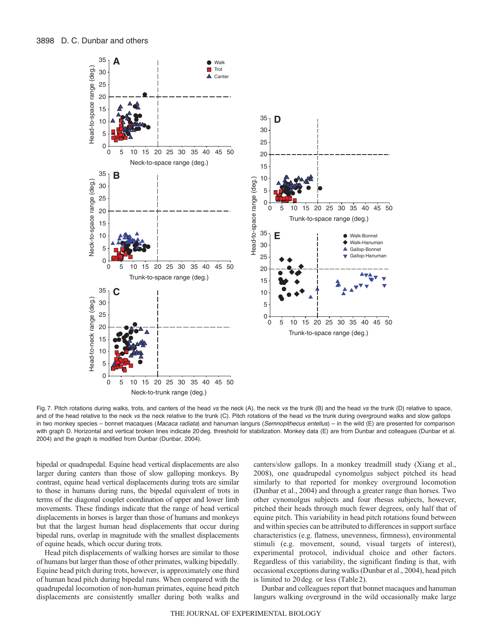

Fig. 7. Pitch rotations during walks, trots, and canters of the head vs the neck (A), the neck vs the trunk (B) and the head vs the trunk (D) relative to space, and of the head relative to the neck vs the neck relative to the trunk (C). Pitch rotations of the head vs the trunk during overground walks and slow gallops in two monkey species – bonnet macaques (Macaca radiata) and hanuman langurs (Semnopithecus entellus) – in the wild (E) are presented for comparison with graph D. Horizontal and vertical broken lines indicate 20 deg. threshold for stabilization. Monkey data (E) are from Dunbar and colleagues (Dunbar et al. 2004) and the graph is modified from Dunbar (Dunbar, 2004).

bipedal or quadrupedal. Equine head vertical displacements are also larger during canters than those of slow galloping monkeys. By contrast, equine head vertical displacements during trots are similar to those in humans during runs, the bipedal equivalent of trots in terms of the diagonal couplet coordination of upper and lower limb movements. These findings indicate that the range of head vertical displacements in horses is larger than those of humans and monkeys but that the largest human head displacements that occur during bipedal runs, overlap in magnitude with the smallest displacements of equine heads, which occur during trots.

Head pitch displacements of walking horses are similar to those of humans but larger than those of other primates, walking bipedally. Equine head pitch during trots, however, is approximately one third of human head pitch during bipedal runs. When compared with the quadrupedal locomotion of non-human primates, equine head pitch displacements are consistently smaller during both walks and canters/slow gallops. In a monkey treadmill study (Xiang et al., 2008), one quadrupedal cynomolgus subject pitched its head similarly to that reported for monkey overground locomotion (Dunbar et al., 2004) and through a greater range than horses. Two other cynomolgus subjects and four rhesus subjects, however, pitched their heads through much fewer degrees, only half that of equine pitch. This variability in head pitch rotations found between and within species can be attributed to differences in support surface characteristics (e.g. flatness, unevenness, firmness), environmental stimuli (e.g. movement, sound, visual targets of interest), experimental protocol, individual choice and other factors. Regardless of this variability, the significant finding is that, with occasional exceptions during walks (Dunbar et al., 2004), head pitch is limited to 20deg. or less (Table2).

Dunbar and colleagues report that bonnet macaques and hanuman langurs walking overground in the wild occasionally make large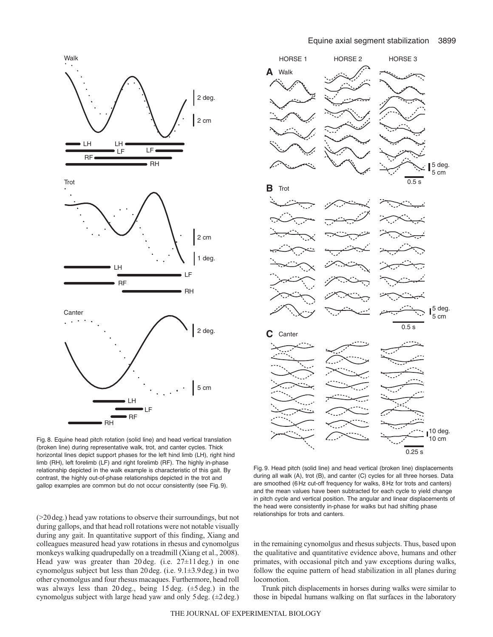

Fig. 8. Equine head pitch rotation (solid line) and head vertical translation (broken line) during representative walk, trot, and canter cycles. Thick horizontal lines depict support phases for the left hind limb (LH), right hind limb (RH), left forelimb (LF) and right forelimb (RF). The highly in-phase relationship depicted in the walk example is characteristic of this gait. By contrast, the highly out-of-phase relationships depicted in the trot and gallop examples are common but do not occur consistently (see Fig. 9).

(>20deg.) head yaw rotations to observe their surroundings, but not during gallops, and that head roll rotations were not notable visually during any gait. In quantitative support of this finding, Xiang and colleagues measured head yaw rotations in rhesus and cynomolgus monkeys walking quadrupedally on a treadmill (Xiang et al., 2008). Head yaw was greater than 20 deg. (i.e. 27±11 deg.) in one cynomolgus subject but less than 20deg. (i.e. 9.1±3.9deg.) in two other cynomolgus and four rhesus macaques. Furthermore, head roll was always less than 20 deg., being  $15 \text{ deg.}$  ( $\pm 5 \text{ deg.}$ ) in the cynomolgus subject with large head yaw and only 5deg. (±2deg.)



Fig. 9. Head pitch (solid line) and head vertical (broken line) displacements during all walk (A), trot (B), and canter (C) cycles for all three horses. Data are smoothed (6 Hz cut-off frequency for walks, 8 Hz for trots and canters) and the mean values have been subtracted for each cycle to yield change in pitch cycle and vertical position. The angular and linear displacements of the head were consistently in-phase for walks but had shifting phase relationships for trots and canters.

in the remaining cynomolgus and rhesus subjects. Thus, based upon the qualitative and quantitative evidence above, humans and other primates, with occasional pitch and yaw exceptions during walks, follow the equine pattern of head stabilization in all planes during locomotion.

Trunk pitch displacements in horses during walks were similar to those in bipedal humans walking on flat surfaces in the laboratory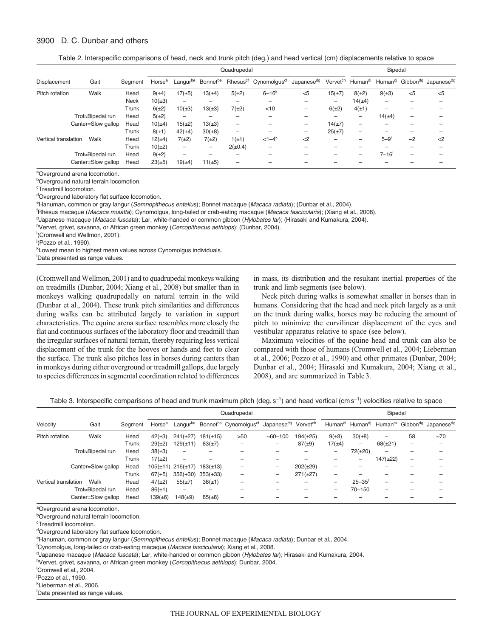Table 2. Interspecific comparisons of head, neck and trunk pitch (deg.) and head vertical (cm) displacements relative to space

|                      |                    |             | Quadrupedal        |                              |                      |                          |                                                                           |                        | <b>Bipedal</b> |                                          |                   |          |                                                                 |
|----------------------|--------------------|-------------|--------------------|------------------------------|----------------------|--------------------------|---------------------------------------------------------------------------|------------------------|----------------|------------------------------------------|-------------------|----------|-----------------------------------------------------------------|
| Displacement         | Gait               | Segment     | Horse <sup>a</sup> | Langurbe                     | Bonnet <sup>be</sup> |                          | Rhesus <sup>cf</sup> Cynomolgus <sup>cf</sup>                             | Japanese <sup>dg</sup> |                | Vervet <sup>ch</sup> Human <sup>di</sup> |                   |          | Human <sup>dj</sup> Gibbon <sup>dg</sup> Japanese <sup>dg</sup> |
| Pitch rotation       | Walk               | Head        | 9(±4)              | $17(\pm 5)$                  | $13(\pm 4)$          | $5(\pm 2)$               | $6 - 16^{k}$                                                              | $<$ 5                  | $15(\pm 7)$    | $8(\pm 2)$                               | $9(\pm 3)$        | $<$ 5    | $<$ 5                                                           |
|                      |                    | <b>Neck</b> | $10(\pm 3)$        | $\qquad \qquad -$            | -                    | $\overline{\phantom{0}}$ | $\hspace{1.0cm} \rule{1.5cm}{0.15cm} \hspace{1.0cm} \rule{1.5cm}{0.15cm}$ |                        | -              | 14(±4)                                   | $\qquad \qquad -$ |          |                                                                 |
|                      |                    | Trunk       | $6(\pm 2)$         | $10(\pm 3)$                  | $13(\pm 3)$          | $7(\pm 2)$               | $<$ 10                                                                    | -                      | $6(\pm 2)$     | $4(\pm 1)$                               | -                 |          |                                                                 |
|                      | Trot≈Bipedal run   | Head        | $5(\pm 2)$         | $\qquad \qquad \blacksquare$ |                      |                          |                                                                           |                        |                | $\overline{\phantom{0}}$                 | $14(\pm 4)$       | -        |                                                                 |
|                      | Canter=Slow gallop | Head        | $10(\pm 4)$        | $15(\pm 2)$                  | $13(\pm 3)$          | $\overline{\phantom{0}}$ |                                                                           |                        | $14(\pm 7)$    | $\overline{\phantom{a}}$                 | -                 |          |                                                                 |
|                      |                    | Trunk       | $8(+1)$            | $42(+4)$                     | $30(+8)$             | —                        |                                                                           | -                      | $25(\pm 7)$    | $\overline{\phantom{0}}$                 | -                 |          |                                                                 |
| Vertical translation | Walk               | Head        | $12(\pm 4)$        | $7(\pm 2)$                   | $7(\pm 2)$           | $1(\pm 1)$               | $< 1 - 4^k$                                                               | $<$ 2                  | -              | -                                        | $5 - 9$           | $\sim$ 2 | $\mathcal{L}$                                                   |
|                      |                    | Trunk       | $10(\pm 2)$        | $\overline{\phantom{0}}$     | -                    | $2(\pm 0.4)$             | -                                                                         |                        | -              |                                          |                   |          |                                                                 |
|                      | Trot≈Bipedal run   | Head        | 9(±2)              | $\qquad \qquad \blacksquare$ |                      |                          |                                                                           |                        | -              | $\overline{\phantom{0}}$                 | $7 - 16$          | -        |                                                                 |
|                      | Canter=Slow gallop | Head        | $23(\pm 5)$        | $19(\pm 4)$                  | $11(\pm 5)$          | -                        |                                                                           |                        |                |                                          |                   |          |                                                                 |

aOverground arena locomotion.

**bOverground natural terrain locomotion.** 

c Treadmill locomotion.

dOverground laboratory flat surface locomotion.

eHanuman, common or gray langur (Semnopithecus entellus); Bonnet macaque (Macaca radiata); (Dunbar et al., 2004).

<sup>f</sup>Rhesus macaque (Macaca mulatta); Cynomolgus, long-tailed or crab-eating macaque (Macaca fascicularis); (Xiang et al., 2008).

<sup>g</sup>Japanese macaque (Macaca fuscata); Lar, white-handed or common gibbon (Hylobates lar); (Hirasaki and Kumakura, 2004).

hVervet, grivet, savanna, or African green monkey (Cercopithecus aethiops); (Dunbar, 2004).

i (Cromwell and Wellmon, 2001).

<sup>j</sup>(Pozzo et al., 1990).

k Lowest mean to highest mean values across Cynomolgus individuals.

l Data presented as range values.

(Cromwell and Wellmon, 2001) and to quadrupedal monkeys walking on treadmills (Dunbar, 2004; Xiang et al., 2008) but smaller than in monkeys walking quadrupedally on natural terrain in the wild (Dunbar et al., 2004). These trunk pitch similarities and differences during walks can be attributed largely to variation in support characteristics. The equine arena surface resembles more closely the flat and continuous surfaces of the laboratory floor and treadmill than the irregular surfaces of natural terrain, thereby requiring less vertical displacement of the trunk for the hooves or hands and feet to clear the surface. The trunk also pitches less in horses during canters than in monkeys during either overground or treadmill gallops, due largely to species differences in segmental coordination related to differences

in mass, its distribution and the resultant inertial properties of the trunk and limb segments (see below).

Neck pitch during walks is somewhat smaller in horses than in humans. Considering that the head and neck pitch largely as a unit on the trunk during walks, horses may be reducing the amount of pitch to minimize the curvilinear displacement of the eyes and vestibular apparatus relative to space (see below).

Maximum velocities of the equine head and trunk can also be compared with those of humans (Cromwell et al., 2004; Lieberman et al., 2006; Pozzo et al., 1990) and other primates (Dunbar, 2004; Dunbar et al., 2004; Hirasaki and Kumakura, 2004; Xiang et al., 2008), and are summarized in Table3.

|                      |                    |         | Quadrupedal        |                               |                       |                                                                                                                |      |                          |             | <b>Bipedal</b> |               |    |                                                                                                         |  |
|----------------------|--------------------|---------|--------------------|-------------------------------|-----------------------|----------------------------------------------------------------------------------------------------------------|------|--------------------------|-------------|----------------|---------------|----|---------------------------------------------------------------------------------------------------------|--|
| Velocity             | Gait               | Seament | Horse <sup>a</sup> |                               |                       | Langur <sup>be</sup> Bonnet <sup>be</sup> Cynomolgus <sup>cf</sup> Japanese <sup>dg</sup> Vervet <sup>ch</sup> |      |                          |             |                |               |    | Human <sup>di</sup> Human <sup>dj</sup> Human <sup>ck</sup> Gibbon <sup>dg</sup> Japanese <sup>dg</sup> |  |
| Pitch rotation       | Walk               | Head    | $42(\pm 3)$        | $241(\pm 27)$                 | $181(\pm 15)$         | >50                                                                                                            | ~100 | $194(\pm 25)$            | $9(\pm 3)$  | $30(\pm 8)$    | -             | 58 | ~1                                                                                                      |  |
|                      |                    | Trunk   | $29(\pm 2)$        | $129(\pm 11)$                 | $83(\pm 7)$           | $\hspace{1.0cm} \rule{1.5cm}{0.15cm} \hspace{1.0cm} \rule{1.5cm}{0.15cm}$                                      |      | $87(\pm 9)$              | $17(\pm 4)$ | -              | $68(\pm 21)$  | -  |                                                                                                         |  |
|                      | Trot≈Bipedal run   | Head    | $38(\pm 3)$        | $\overline{\phantom{m}}$      |                       |                                                                                                                |      | $\overline{\phantom{0}}$ | -           | 72(±20)        | -             |    |                                                                                                         |  |
|                      |                    | Trunk   | $17(\pm 2)$        | $\qquad \qquad \blacksquare$  |                       |                                                                                                                |      |                          |             | -              | $147(\pm 22)$ |    |                                                                                                         |  |
|                      | Canter=Slow gallop | Head    |                    | $105(\pm 11)$ 216( $\pm 17$ ) | $183(\pm 13)$         |                                                                                                                |      | $202(\pm 29)$            | -           |                |               |    |                                                                                                         |  |
|                      |                    | Trunk   | $67(+5)$           |                               | $356(+30)$ $353(+33)$ |                                                                                                                |      | $271(\pm 27)$            | -           |                |               |    |                                                                                                         |  |
| Vertical translation | Walk               | Head    | $47(\pm 2)$        | $55(\pm 7)$                   | $38(\pm 1)$           |                                                                                                                |      |                          | -           | $25 - 35$      | -             |    |                                                                                                         |  |
|                      | Trot≈Bipedal run   | Head    | $86(\pm 1)$        | $\qquad \qquad -$             |                       |                                                                                                                |      |                          | -           | $70 - 150$     | -             |    |                                                                                                         |  |
|                      | Canter=Slow gallop | Head    | $139(\pm 6)$       | $148(\pm 9)$                  | $85(\pm 8)$           |                                                                                                                |      |                          |             |                |               |    |                                                                                                         |  |

aOverground arena locomotion.

**bOverground natural terrain locomotion.** 

c Treadmill locomotion.

dOverground laboratory flat surface locomotion.

eHanuman, common or gray langur (Semnopithecus entellus); Bonnet macaque (Macaca radiata); Dunbar et al., 2004.

<sup>f</sup>Cynomolgus, long-tailed or crab-eating macaque (Macaca fascicularis); Xiang et al., 2008.

<sup>g</sup>Japanese macaque (Macaca fuscata); Lar, white-handed or common gibbon (Hylobates lar); Hirasaki and Kumakura, 2004.

hVervet, grivet, savanna, or African green monkey (Cercopithecus aethiops); Dunbar, 2004.

i Cromwell et al., 2004.

j Pozzo et al., 1990.

k Lieberman et al., 2006.

l Data presented as range values.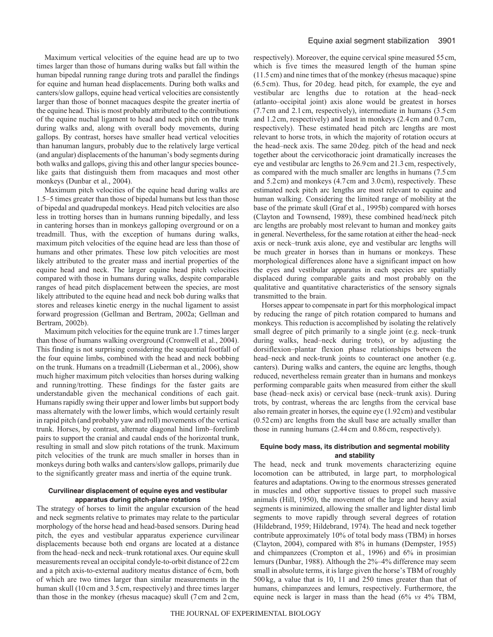Maximum vertical velocities of the equine head are up to two times larger than those of humans during walks but fall within the human bipedal running range during trots and parallel the findings for equine and human head displacements. During both walks and canters/slow gallops, equine head vertical velocities are consistently larger than those of bonnet macaques despite the greater inertia of the equine head. This is most probably attributed to the contributions of the equine nuchal ligament to head and neck pitch on the trunk during walks and, along with overall body movements, during gallops. By contrast, horses have smaller head vertical velocities than hanuman langurs, probably due to the relatively large vertical (and angular) displacements of the hanuman's body segments during both walks and gallops, giving this and other langur species bouncelike gaits that distinguish them from macaques and most other monkeys (Dunbar et al., 2004).

Maximum pitch velocities of the equine head during walks are 1.5–5 times greater than those of bipedal humans but less than those of bipedal and quadrupedal monkeys. Head pitch velocities are also less in trotting horses than in humans running bipedally, and less in cantering horses than in monkeys galloping overground or on a treadmill. Thus, with the exception of humans during walks, maximum pitch velocities of the equine head are less than those of humans and other primates. These low pitch velocities are most likely attributed to the greater mass and inertial properties of the equine head and neck. The larger equine head pitch velocities compared with those in humans during walks, despite comparable ranges of head pitch displacement between the species, are most likely attributed to the equine head and neck bob during walks that stores and releases kinetic energy in the nuchal ligament to assist forward progression (Gellman and Bertram, 2002a; Gellman and Bertram, 2002b).

Maximum pitch velocities for the equine trunk are 1.7 times larger than those of humans walking overground (Cromwell et al., 2004). This finding is not surprising considering the sequential footfall of the four equine limbs, combined with the head and neck bobbing on the trunk. Humans on a treadmill (Lieberman et al., 2006), show much higher maximum pitch velocities than horses during walking and running/trotting. These findings for the faster gaits are understandable given the mechanical conditions of each gait. Humans rapidly swing their upper and lower limbs but support body mass alternately with the lower limbs, which would certainly result in rapid pitch (and probably yaw and roll) movements of the vertical trunk. Horses, by contrast, alternate diagonal hind limb–forelimb pairs to support the cranial and caudal ends of the horizontal trunk, resulting in small and slow pitch rotations of the trunk. Maximum pitch velocities of the trunk are much smaller in horses than in monkeys during both walks and canters/slow gallops, primarily due to the significantly greater mass and inertia of the equine trunk.

# **Curvilinear displacement of equine eyes and vestibular apparatus during pitch-plane rotations**

The strategy of horses to limit the angular excursion of the head and neck segments relative to primates may relate to the particular morphology of the horse head and head-based sensors. During head pitch, the eyes and vestibular apparatus experience curvilinear displacements because both end organs are located at a distance from the head–neck and neck–trunk rotational axes. Our equine skull measurements reveal an occipital condyle-to-orbit distance of 22cm and a pitch axis-to-external auditory meatus distance of 6cm, both of which are two times larger than similar measurements in the human skull (10cm and 3.5cm, respectively) and three times larger than those in the monkey (rhesus macaque) skull (7cm and 2cm, respectively). Moreover, the equine cervical spine measured 55cm, which is five times the measured length of the human spine (11.5cm) and nine times that of the monkey (rhesus macaque) spine (6.5cm). Thus, for 20deg. head pitch, for example, the eye and vestibular arc lengths due to rotation at the head–neck (atlanto–occipital joint) axis alone would be greatest in horses (7.7cm and 2.1cm, respectively), intermediate in humans (3.5cm and 1.2cm, respectively) and least in monkeys (2.4cm and 0.7cm, respectively). These estimated head pitch arc lengths are most relevant to horse trots, in which the majority of rotation occurs at the head–neck axis. The same 20deg. pitch of the head and neck together about the cervicothoracic joint dramatically increases the eye and vestibular arc lengths to 26.9cm and 21.3cm, respectively, as compared with the much smaller arc lengths in humans (7.5cm and 5.2cm) and monkeys (4.7cm and 3.0cm), respectively. These estimated neck pitch arc lengths are most relevant to equine and human walking. Considering the limited range of mobility at the base of the primate skull (Graf et al., 1995b) compared with horses (Clayton and Townsend, 1989), these combined head/neck pitch arc lengths are probably most relevant to human and monkey gaits in general. Nevertheless, for the same rotation at either the head–neck axis or neck–trunk axis alone, eye and vestibular arc lengths will be much greater in horses than in humans or monkeys. These morphological differences alone have a significant impact on how the eyes and vestibular apparatus in each species are spatially displaced during comparable gaits and most probably on the qualitative and quantitative characteristics of the sensory signals transmitted to the brain.

Horses appear to compensate in part for this morphological impact by reducing the range of pitch rotation compared to humans and monkeys. This reduction is accomplished by isolating the relatively small degree of pitch primarily to a single joint (e.g. neck–trunk during walks, head–neck during trots), or by adjusting the dorsiflexion–plantar flexion phase relationships between the head–neck and neck-trunk joints to counteract one another (e.g. canters). During walks and canters, the equine arc lengths, though reduced, nevertheless remain greater than in humans and monkeys performing comparable gaits when measured from either the skull base (head–neck axis) or cervical base (neck–trunk axis). During trots, by contrast, whereas the arc lengths from the cervical base also remain greater in horses, the equine eye (1.92cm) and vestibular (0.52cm) arc lengths from the skull base are actually smaller than those in running humans (2.44cm and 0.86cm, respectively).

#### **Equine body mass, its distribution and segmental mobility and stability**

The head, neck and trunk movements characterizing equine locomotion can be attributed, in large part, to morphological features and adaptations. Owing to the enormous stresses generated in muscles and other supportive tissues to propel such massive animals (Hill, 1950), the movement of the large and heavy axial segments is minimized, allowing the smaller and lighter distal limb segments to move rapidly through several degrees of rotation (Hildebrand, 1959; Hildebrand, 1974). The head and neck together contribute approximately 10% of total body mass (TBM) in horses (Clayton, 2004), compared with 8% in humans (Dempster, 1955) and chimpanzees (Crompton et al., 1996) and 6% in prosimian lemurs (Dunbar, 1988). Although the 2%–4% difference may seem small in absolute terms, it is large given the horse's TBM of roughly 500kg, a value that is 10, 11 and 250 times greater than that of humans, chimpanzees and lemurs, respectively. Furthermore, the equine neck is larger in mass than the head (6% *vs* 4% TBM,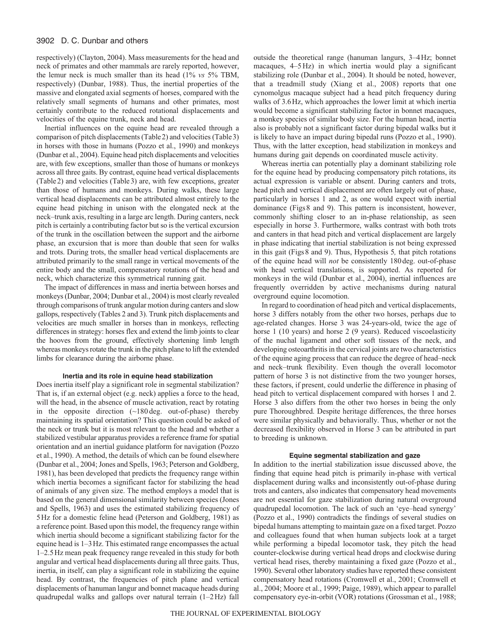respectively) (Clayton, 2004). Mass measurements for the head and neck of primates and other mammals are rarely reported, however, the lemur neck is much smaller than its head (1% *vs* 5% TBM, respectively) (Dunbar, 1988). Thus, the inertial properties of the massive and elongated axial segments of horses, compared with the relatively small segments of humans and other primates, most certainly contribute to the reduced rotational displacements and velocities of the equine trunk, neck and head.

Inertial influences on the equine head are revealed through a comparison of pitch displacements (Table2) and velocities (Table3) in horses with those in humans (Pozzo et al., 1990) and monkeys (Dunbar et al., 2004). Equine head pitch displacements and velocities are, with few exceptions, smaller than those of humans or monkeys across all three gaits. By contrast, equine head vertical displacements (Table2) and velocities (Table3) are, with few exceptions, greater than those of humans and monkeys. During walks, these large vertical head displacements can be attributed almost entirely to the equine head pitching in unison with the elongated neck at the neck–trunk axis, resulting in a large arc length. During canters, neck pitch is certainly a contributing factor but so is the vertical excursion of the trunk in the oscillation between the support and the airborne phase, an excursion that is more than double that seen for walks and trots. During trots, the smaller head vertical displacements are attributed primarily to the small range in vertical movements of the entire body and the small, compensatory rotations of the head and neck, which characterize this symmetrical running gait.

The impact of differences in mass and inertia between horses and monkeys (Dunbar, 2004; Dunbar et al., 2004) is most clearly revealed through comparisons of trunk angular motion during canters and slow gallops, respectively (Tables 2 and 3). Trunk pitch displacements and velocities are much smaller in horses than in monkeys, reflecting differences in strategy: horses flex and extend the limb joints to clear the hooves from the ground, effectively shortening limb length whereas monkeys rotate the trunk in the pitch plane to lift the extended limbs for clearance during the airborne phase.

#### **Inertia and its role in equine head stabilization**

Does inertia itself play a significant role in segmental stabilization? That is, if an external object (e.g. neck) applies a force to the head, will the head, in the absence of muscle activation, react by rotating in the opposite direction  $(\sim 180 \text{ deg.}$  out-of-phase) thereby maintaining its spatial orientation? This question could be asked of the neck or trunk but it is most relevant to the head and whether a stabilized vestibular apparatus provides a reference frame for spatial orientation and an inertial guidance platform for navigation (Pozzo et al., 1990). A method, the details of which can be found elsewhere (Dunbar et al., 2004; Jones and Spells, 1963; Peterson and Goldberg, 1981), has been developed that predicts the frequency range within which inertia becomes a significant factor for stabilizing the head of animals of any given size. The method employs a model that is based on the general dimensional similarity between species (Jones and Spells, 1963) and uses the estimated stabilizing frequency of 5Hz for a domestic feline head (Peterson and Goldberg, 1981) as a reference point. Based upon this model, the frequency range within which inertia should become a significant stabilizing factor for the equine head is 1–3Hz. This estimated range encompasses the actual 1–2.5Hz mean peak frequency range revealed in this study for both angular and vertical head displacements during all three gaits. Thus, inertia, in itself, can play a significant role in stabilizing the equine head. By contrast, the frequencies of pitch plane and vertical displacements of hanuman langur and bonnet macaque heads during quadrupedal walks and gallops over natural terrain (1–2Hz) fall

outside the theoretical range (hanuman langurs, 3–4Hz; bonnet macaques, 4–5 Hz) in which inertia would play a significant stabilizing role (Dunbar et al., 2004). It should be noted, however, that a treadmill study (Xiang et al., 2008) reports that one cynomolgus macaque subject had a head pitch frequency during walks of 3.6Hz, which approaches the lower limit at which inertia would become a significant stabilizing factor in bonnet macaques, a monkey species of similar body size. For the human head, inertia also is probably not a significant factor during bipedal walks but it is likely to have an impact during bipedal runs (Pozzo et al., 1990). Thus, with the latter exception, head stabilization in monkeys and humans during gait depends on coordinated muscle activity.

Whereas inertia can potentially play a dominant stabilizing role for the equine head by producing compensatory pitch rotations, its actual expression is variable or absent. During canters and trots, head pitch and vertical displacement are often largely out of phase, particularly in horses 1 and 2, as one would expect with inertial dominance (Figs8 and 9). This pattern is inconsistent, however, commonly shifting closer to an in-phase relationship, as seen especially in horse 3. Furthermore, walks contrast with both trots and canters in that head pitch and vertical displacement are largely in phase indicating that inertial stabilization is not being expressed in this gait (Figs8 and 9). Thus, Hypothesis 5*,* that pitch rotations of the equine head will *not* be consistently 180deg. out-of-phase with head vertical translations, is supported. As reported for monkeys in the wild (Dunbar et al., 2004), inertial influences are frequently overridden by active mechanisms during natural overground equine locomotion.

In regard to coordination of head pitch and vertical displacements, horse 3 differs notably from the other two horses, perhaps due to age-related changes. Horse 3 was 24-years-old, twice the age of horse 1 (10 years) and horse 2 (9 years). Reduced viscoelasticity of the nuchal ligament and other soft tissues of the neck, and developing osteoarthritis in the cervical joints are two characteristics of the equine aging process that can reduce the degree of head–neck and neck–trunk flexibility. Even though the overall locomotor pattern of horse 3 is not distinctive from the two younger horses, these factors, if present, could underlie the difference in phasing of head pitch to vertical displacement compared with horses 1 and 2. Horse 3 also differs from the other two horses in being the only pure Thoroughbred. Despite heritage differences, the three horses were similar physically and behaviorally. Thus, whether or not the decreased flexibility observed in Horse 3 can be attributed in part to breeding is unknown.

#### **Equine segmental stabilization and gaze**

In addition to the inertial stabilization issue discussed above, the finding that equine head pitch is primarily in-phase with vertical displacement during walks and inconsistently out-of-phase during trots and canters, also indicates that compensatory head movements are not essential for gaze stabilization during natural overground quadrupedal locomotion. The lack of such an 'eye–head synergy' (Pozzo et al., 1990) contradicts the findings of several studies on bipedal humans attempting to maintain gaze on a fixed target. Pozzo and colleagues found that when human subjects look at a target while performing a bipedal locomotor task, they pitch the head counter-clockwise during vertical head drops and clockwise during vertical head rises, thereby maintaining a fixed gaze (Pozzo et al., 1990). Several other laboratory studies have reported these consistent compensatory head rotations (Cromwell et al., 2001; Cromwell et al., 2004; Moore et al., 1999; Paige, 1989), which appear to parallel compensatory eye-in-orbit (VOR) rotations (Grossman et al., 1988;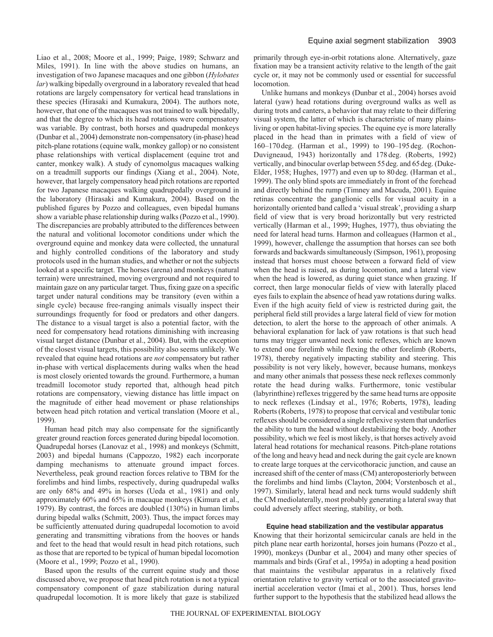Liao et al., 2008; Moore et al., 1999; Paige, 1989; Schwarz and Miles, 1991). In line with the above studies on humans, an investigation of two Japanese macaques and one gibbon (*Hylobates lar*) walking bipedally overground in a laboratory revealed that head rotations are largely compensatory for vertical head translations in these species (Hirasaki and Kumakura, 2004). The authors note, however, that one of the macaques was not trained to walk bipedally, and that the degree to which its head rotations were compensatory was variable. By contrast, both horses and quadrupedal monkeys (Dunbar et al., 2004) demonstrate non-compensatory (in-phase) head pitch-plane rotations (equine walk, monkey gallop) or no consistent phase relationships with vertical displacement (equine trot and canter, monkey walk). A study of cynomolgus macaques walking on a treadmill supports our findings (Xiang et al., 2004). Note, however, that largely compensatory head pitch rotations are reported for two Japanese macaques walking quadrupedally overground in the laboratory (Hirasaki and Kumakura, 2004). Based on the published figures by Pozzo and colleagues, even bipedal humans show a variable phase relationship during walks (Pozzo et al., 1990). The discrepancies are probably attributed to the differences between the natural and volitional locomotor conditions under which the overground equine and monkey data were collected, the unnatural and highly controlled conditions of the laboratory and study protocols used in the human studies, and whether or not the subjects looked at a specific target. The horses (arena) and monkeys (natural terrain) were unrestrained, moving overground and not required to maintain gaze on any particular target. Thus, fixing gaze on a specific target under natural conditions may be transitory (even within a single cycle) because free-ranging animals visually inspect their surroundings frequently for food or predators and other dangers. The distance to a visual target is also a potential factor, with the need for compensatory head rotations diminishing with increasing visual target distance (Dunbar et al., 2004). But, with the exception of the closest visual targets, this possibility also seems unlikely. We revealed that equine head rotations are *not* compensatory but rather in-phase with vertical displacements during walks when the head is most closely oriented towards the ground. Furthermore, a human treadmill locomotor study reported that, although head pitch rotations are compensatory, viewing distance has little impact on the magnitude of either head movement or phase relationships between head pitch rotation and vertical translation (Moore et al., 1999).

Human head pitch may also compensate for the significantly greater ground reaction forces generated during bipedal locomotion. Quadrupedal horses (Lanovaz et al., 1998) and monkeys (Schmitt, 2003) and bipedal humans (Cappozzo, 1982) each incorporate damping mechanisms to attenuate ground impact forces. Nevertheless, peak ground reaction forces relative to TBM for the forelimbs and hind limbs, respectively, during quadrupedal walks are only 68% and 49% in horses (Ueda et al., 1981) and only approximately 60% and 65% in macaque monkeys (Kimura et al., 1979). By contrast, the forces are doubled (130%) in human limbs during bipedal walks (Schmitt, 2003). Thus, the impact forces may be sufficiently attenuated during quadrupedal locomotion to avoid generating and transmitting vibrations from the hooves or hands and feet to the head that would result in head pitch rotations, such as those that are reported to be typical of human bipedal locomotion (Moore et al., 1999; Pozzo et al., 1990).

Based upon the results of the current equine study and those discussed above, we propose that head pitch rotation is not a typical compensatory component of gaze stabilization during natural quadrupedal locomotion. It is more likely that gaze is stabilized primarily through eye-in-orbit rotations alone. Alternatively, gaze fixation may be a transient activity relative to the length of the gait cycle or, it may not be commonly used or essential for successful locomotion.

Unlike humans and monkeys (Dunbar et al., 2004) horses avoid lateral (yaw) head rotations during overground walks as well as during trots and canters, a behavior that may relate to their differing visual system, the latter of which is characteristic of many plainsliving or open habitat-living species. The equine eye is more laterally placed in the head than in primates with a field of view of 160–170deg. (Harman et al., 1999) to 190–195deg. (Rochon-Duvigneaud, 1943) horizontally and 178 deg. (Roberts, 1992) vertically, and binocular overlap between 55deg. and 65deg. (Duke-Elder, 1958; Hughes, 1977) and even up to 80deg. (Harman et al., 1999). The only blind spots are immediately in front of the forehead and directly behind the rump (Timney and Macuda, 2001). Equine retinas concentrate the ganglionic cells for visual acuity in a horizontally oriented band called a 'visual streak', providing a sharp field of view that is very broad horizontally but very restricted vertically (Harman et al., 1999; Hughes, 1977), thus obviating the need for lateral head turns. Harmon and colleagues (Harmon et al., 1999), however, challenge the assumption that horses can see both forwards and backwards simultaneously (Simpson, 1961), proposing instead that horses must choose between a forward field of view when the head is raised, as during locomotion, and a lateral view when the head is lowered, as during quiet stance when grazing. If correct, then large monocular fields of view with laterally placed eyes fails to explain the absence of head yaw rotations during walks. Even if the high acuity field of view is restricted during gait, the peripheral field still provides a large lateral field of view for motion detection, to alert the horse to the approach of other animals. A behavioral explanation for lack of yaw rotations is that such head turns may trigger unwanted neck tonic reflexes, which are known to extend one forelimb while flexing the other forelimb (Roberts, 1978), thereby negatively impacting stability and steering. This possibility is not very likely, however, because humans, monkeys and many other animals that possess these neck reflexes commonly rotate the head during walks. Furthermore, tonic vestibular (labyrinthine) reflexes triggered by the same head turns are opposite to neck reflexes (Lindsay et al., 1976; Roberts, 1978), leading Roberts (Roberts, 1978) to propose that cervical and vestibular tonic reflexes should be considered a single reflexive system that underlies the ability to turn the head without destabilizing the body. Another possibility, which we feel is most likely, is that horses actively avoid lateral head rotations for mechanical reasons. Pitch-plane rotations of the long and heavy head and neck during the gait cycle are known to create large torques at the cervicothoracic junction, and cause an increased shift of the center of mass (CM) anteroposteriorly between the forelimbs and hind limbs (Clayton, 2004; Vorstenbosch et al., 1997). Similarly, lateral head and neck turns would suddenly shift the CM mediolaterally, most probably generating a lateral sway that could adversely affect steering, stability, or both.

# **Equine head stabilization and the vestibular apparatus**

Knowing that their horizontal semicircular canals are held in the pitch plane near earth horizontal, horses join humans (Pozzo et al., 1990), monkeys (Dunbar et al., 2004) and many other species of mammals and birds (Graf et al., 1995a) in adopting a head position that maintains the vestibular apparatus in a relatively fixed orientation relative to gravity vertical or to the associated gravitoinertial acceleration vector (Imai et al., 2001). Thus, horses lend further support to the hypothesis that the stabilized head allows the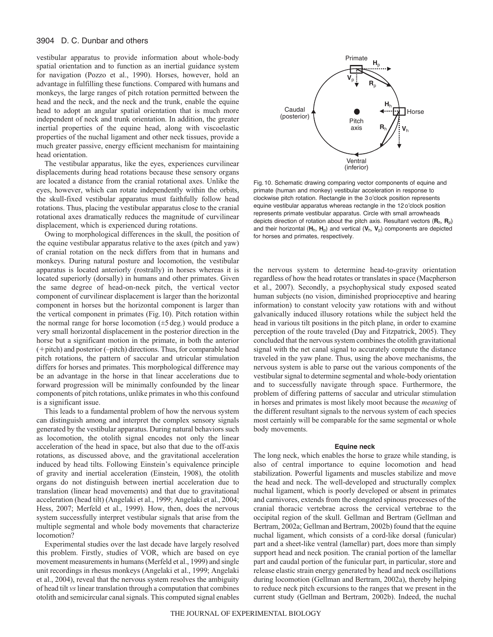vestibular apparatus to provide information about whole-body spatial orientation and to function as an inertial guidance system for navigation (Pozzo et al., 1990). Horses, however, hold an advantage in fulfilling these functions. Compared with humans and monkeys, the large ranges of pitch rotation permitted between the head and the neck, and the neck and the trunk, enable the equine head to adopt an angular spatial orientation that is much more independent of neck and trunk orientation. In addition, the greater inertial properties of the equine head, along with viscoelastic properties of the nuchal ligament and other neck tissues, provide a much greater passive, energy efficient mechanism for maintaining head orientation.

The vestibular apparatus, like the eyes, experiences curvilinear displacements during head rotations because these sensory organs are located a distance from the cranial rotational axes. Unlike the eyes, however, which can rotate independently within the orbits, the skull-fixed vestibular apparatus must faithfully follow head rotations. Thus, placing the vestibular apparatus close to the cranial rotational axes dramatically reduces the magnitude of curvilinear displacement, which is experienced during rotations.

Owing to morphological differences in the skull, the position of the equine vestibular apparatus relative to the axes (pitch and yaw) of cranial rotation on the neck differs from that in humans and monkeys. During natural posture and locomotion, the vestibular apparatus is located anteriorly (rostrally) in horses whereas it is located superiorly (dorsally) in humans and other primates. Given the same degree of head-on-neck pitch, the vertical vector component of curvilinear displacement is larger than the horizontal component in horses but the horizontal component is larger than the vertical component in primates (Fig.10). Pitch rotation within the normal range for horse locomotion  $(\pm 5 \text{ deg.})$  would produce a very small horizontal displacement in the posterior direction in the horse but a significant motion in the primate, in both the anterior  $(+$  pitch) and posterior ( $-$ pitch) directions. Thus, for comparable head pitch rotations, the pattern of saccular and utricular stimulation differs for horses and primates. This morphological difference may be an advantage in the horse in that linear accelerations due to forward progression will be minimally confounded by the linear components of pitch rotations, unlike primates in who this confound is a significant issue.

This leads to a fundamental problem of how the nervous system can distinguish among and interpret the complex sensory signals generated by the vestibular apparatus. During natural behaviors such as locomotion, the otolith signal encodes not only the linear acceleration of the head in space, but also that due to the off-axis rotations, as discussed above, and the gravitational acceleration induced by head tilts. Following Einstein's equivalence principle of gravity and inertial acceleration (Einstein, 1908), the otolith organs do not distinguish between inertial acceleration due to translation (linear head movements) and that due to gravitational acceleration (head tilt) (Angelaki et al., 1999; Angelaki et al., 2004; Hess, 2007; Merfeld et al., 1999). How, then, does the nervous system successfully interpret vestibular signals that arise from the multiple segmental and whole body movements that characterize locomotion?

Experimental studies over the last decade have largely resolved this problem. Firstly, studies of VOR, which are based on eye movement measurements in humans (Merfeld et al., 1999) and single unit recordings in rhesus monkeys (Angelaki et al., 1999; Angelaki et al., 2004), reveal that the nervous system resolves the ambiguity of head tilt *vs*linear translation through a computation that combines otolith and semicircular canal signals. This computed signal enables



Fig. 10. Schematic drawing comparing vector components of equine and primate (human and monkey) vestibular acceleration in response to clockwise pitch rotation. Rectangle in the 3 o'clock position represents equine vestibular apparatus whereas rectangle in the 12 o'clock position represents primate vestibular apparatus. Circle with small arrowheads depicts direction of rotation about the pitch axis. Resultant vectors  $(R_h, R_p)$ and their horizontal ( $H_h$ ,  $H_p$ ) and vertical ( $V_h$ ,  $V_p$ ) components are depicted for horses and primates, respectively.

the nervous system to determine head-to-gravity orientation regardless of how the head rotates or translates in space (Macpherson et al., 2007). Secondly, a psychophysical study exposed seated human subjects (no vision, diminished proprioceptive and hearing information) to constant velocity yaw rotations with and without galvanically induced illusory rotations while the subject held the head in various tilt positions in the pitch plane, in order to examine perception of the route traveled (Day and Fitzpatrick, 2005). They concluded that the nervous system combines the otolith gravitational signal with the net canal signal to accurately compute the distance traveled in the yaw plane. Thus, using the above mechanisms, the nervous system is able to parse out the various components of the vestibular signal to determine segmental and whole-body orientation and to successfully navigate through space. Furthermore, the problem of differing patterns of saccular and utricular stimulation in horses and primates is most likely moot because the *meaning* of the different resultant signals to the nervous system of each species most certainly will be comparable for the same segmental or whole body movements.

#### **Equine neck**

The long neck, which enables the horse to graze while standing, is also of central importance to equine locomotion and head stabilization. Powerful ligaments and muscles stabilize and move the head and neck. The well-developed and structurally complex nuchal ligament, which is poorly developed or absent in primates and carnivores, extends from the elongated spinous processes of the cranial thoracic vertebrae across the cervical vertebrae to the occipital region of the skull. Gellman and Bertram (Gellman and Bertram, 2002a; Gellman and Bertram, 2002b) found that the equine nuchal ligament, which consists of a cord-like dorsal (funicular) part and a sheet-like ventral (lamellar) part, does more than simply support head and neck position. The cranial portion of the lamellar part and caudal portion of the funicular part, in particular, store and release elastic strain energy generated by head and neck oscillations during locomotion (Gellman and Bertram, 2002a), thereby helping to reduce neck pitch excursions to the ranges that we present in the current study (Gellman and Bertram, 2002b). Indeed, the nuchal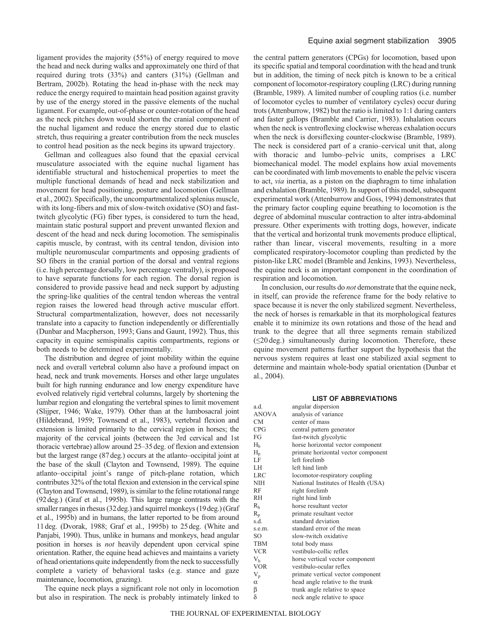ligament provides the majority (55%) of energy required to move the head and neck during walks and approximately one third of that required during trots (33%) and canters (31%) (Gellman and Bertram, 2002b). Rotating the head in-phase with the neck may reduce the energy required to maintain head position against gravity by use of the energy stored in the passive elements of the nuchal ligament. For example, out-of-phase or counter-rotation of the head as the neck pitches down would shorten the cranial component of the nuchal ligament and reduce the energy stored due to elastic stretch, thus requiring a greater contribution from the neck muscles to control head position as the neck begins its upward trajectory.

Gellman and colleagues also found that the epaxial cervical musculature associated with the equine nuchal ligament has identifiable structural and histochemical properties to meet the multiple functional demands of head and neck stabilization and movement for head positioning, posture and locomotion (Gellman et al., 2002). Specifically, the uncompartmentalized splenius muscle, with its long-fibers and mix of slow-twitch oxidative (SO) and fasttwitch glycolytic (FG) fiber types, is considered to turn the head, maintain static postural support and prevent unwanted flexion and descent of the head and neck during locomotion. The semispinalis capitis muscle, by contrast, with its central tendon, division into multiple neuromuscular compartments and opposing gradients of SO fibers in the cranial portion of the dorsal and ventral regions (i.e. high percentage dorsally, low percentage ventrally), is proposed to have separate functions for each region. The dorsal region is considered to provide passive head and neck support by adjusting the spring-like qualities of the central tendon whereas the ventral region raises the lowered head through active muscular effort. Structural compartmentalization, however, does not necessarily translate into a capacity to function independently or differentially (Dunbar and Macpherson, 1993; Gans and Gaunt, 1992). Thus, this capacity in equine semispinalis capitis compartments, regions or both needs to be determined experimentally.

The distribution and degree of joint mobility within the equine neck and overall vertebral column also have a profound impact on head, neck and trunk movements. Horses and other large ungulates built for high running endurance and low energy expenditure have evolved relatively rigid vertebral columns, largely by shortening the lumbar region and elongating the vertebral spines to limit movement (Slijper, 1946; Wake, 1979). Other than at the lumbosacral joint (Hildebrand, 1959; Townsend et al., 1983), vertebral flexion and extension is limited primarily to the cervical region in horses; the majority of the cervical joints (between the 3rd cervical and 1st thoracic vertebrae) allow around 25–35deg. of flexion and extension but the largest range (87deg.) occurs at the atlanto–occipital joint at the base of the skull (Clayton and Townsend, 1989). The equine atlanto–occipital joint's range of pitch-plane rotation, which contributes 32% of the total flexion and extension in the cervical spine (Clayton and Townsend, 1989), is similar to the feline rotational range (92deg.) (Graf et al., 1995b). This large range contrasts with the smaller ranges in rhesus (32deg.) and squirrel monkeys (19deg.) (Graf et al., 1995b) and in humans, the latter reported to be from around 11deg. (Dvorak, 1988; Graf et al., 1995b) to 25deg. (White and Panjabi, 1990). Thus, unlike in humans and monkeys, head angular position in horses is *not* heavily dependent upon cervical spine orientation. Rather, the equine head achieves and maintains a variety of head orientations quite independently from the neck to successfully complete a variety of behavioral tasks (e.g. stance and gaze maintenance, locomotion, grazing).

The equine neck plays a significant role not only in locomotion but also in respiration. The neck is probably intimately linked to the central pattern generators (CPGs) for locomotion, based upon its specific spatial and temporal coordination with the head and trunk but in addition, the timing of neck pitch is known to be a critical component of locomotor-respiratory coupling (LRC) during running (Bramble, 1989). A limited number of coupling ratios (i.e. number of locomotor cycles to number of ventilatory cycles) occur during trots (Attenburrow, 1982) but the ratio is limited to 1:1 during canters and faster gallops (Bramble and Carrier, 1983). Inhalation occurs when the neck is ventroflexing clockwise whereas exhalation occurs when the neck is dorsiflexing counter-clockwise (Bramble, 1989). The neck is considered part of a cranio–cervical unit that, along with thoracic and lumbo–pelvic units, comprises a LRC biomechanical model. The model explains how axial movements can be coordinated with limb movements to enable the pelvic viscera to act, *via* inertia, as a piston on the diaphragm to time inhalation and exhalation (Bramble, 1989). In support of this model, subsequent experimental work (Attenburrow and Goss, 1994) demonstrates that the primary factor coupling equine breathing to locomotion is the degree of abdominal muscular contraction to alter intra-abdominal pressure. Other experiments with trotting dogs, however, indicate that the vertical and horizontal trunk movements produce elliptical, rather than linear, visceral movements, resulting in a more complicated respiratory-locomotor coupling than predicted by the piston-like LRC model (Bramble and Jenkins, 1993). Nevertheless, the equine neck is an important component in the coordination of respiration and locomotion.

In conclusion, our results do *not* demonstrate that the equine neck, in itself, can provide the reference frame for the body relative to space because it is never the only stabilized segment. Nevertheless, the neck of horses is remarkable in that its morphological features enable it to minimize its own rotations and those of the head and trunk to the degree that all three segments remain stabilized (≤20 deg.) simultaneously during locomotion. Therefore, these equine movement patterns further support the hypothesis that the nervous system requires at least one stabilized axial segment to determine and maintain whole-body spatial orientation (Dunbar et al., 2004).

# **LIST OF ABBREVIATIONS**

| a.d.           | angular dispersion                  |
|----------------|-------------------------------------|
| <b>ANOVA</b>   | analysis of variance                |
| <b>CM</b>      | center of mass                      |
| CPG            | central pattern generator           |
| FG             | fast-twitch glycolytic              |
| H <sub>h</sub> | horse horizontal vector component   |
| $H_p$          | primate horizontal vector component |
| LF             | left forelimb                       |
| LH             | left hind limb                      |
| <b>LRC</b>     | locomotor-respiratory coupling      |
| NIH            | National Institutes of Health (USA) |
| <b>RF</b>      | right forelimb                      |
| <b>RH</b>      | right hind limb                     |
| Rh             | horse resultant vector              |
| $R_p$          | primate resultant vector            |
| s.d.           | standard deviation                  |
| s.e.m.         | standard error of the mean          |
| SO.            | slow-twitch oxidative               |
| TBM            | total body mass                     |
| <b>VCR</b>     | vestibulo-collic reflex             |
| V <sub>h</sub> | horse vertical vector component     |
| <b>VOR</b>     | vestibulo-ocular reflex             |
| $V_p$          | primate vertical vector component   |
| $\alpha$       | head angle relative to the trunk    |
| β              | trunk angle relative to space       |
| δ              | neck angle relative to space        |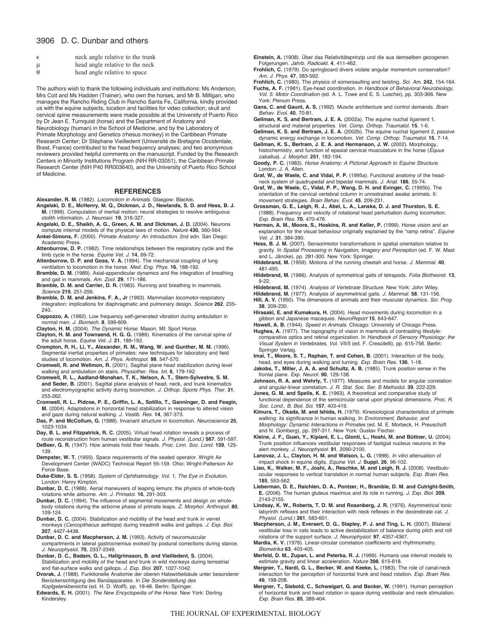|  | neck angle relative to the trunk |  |
|--|----------------------------------|--|
|  |                                  |  |

- μ head angle relative to the neck
- θ head angle relative to space

The authors wish to thank the following individuals and institutions: Ms Anderson, Mrs Coit and Ms Hadden (Trainer), who own the horses, and Mr B. Milligan, who manages the Rancho Riding Club in Rancho Santa Fe, California, kindly provided us with the equine subjects, location and facilities for video collection; skull and cervical spine measurements were made possible at the University of Puerto Rico by Dr Jean E. Turnquist (horse) and the Department of Anatomy and Neurobiology (human) in the School of Medicine, and by the Laboratory of Primate Morphology and Genetics (rhesus monkey) in the Caribbean Primate Research Center; Dr Stéphane Vieilledent (Université de Bretagne Occidentale, Brest, France) contributed to the head frequency analyses; and two anonymous reviewers provided helpful comments on the manuscript. Funded by the Research Centers in Minority Institutions Program (NIH RR-03051), the Caribbean Primate Research Center (NIH P40 RR003640), and the University of Puerto Rico School of Medicine.

#### **REFERENCES**

- **Alexander, R. M.** (1982). Locomotion in Animals. Glasgow: Blackie**.**
- **Angelaki, D. E., McHenry, M. Q., Dickman, J. D., Newlands, S. D. and Hess, B. J. M.** (1999). Computation of inertial motion: neural strategies to resolve ambiguous otolith information. J. Neurosci. **19**, 316-327.
- **Angelaki, D. E., Shaikh, A. G., Green, A. M. and Dickman, J. D.** (2004). Neurons compute internal models of the physical laws of motion. Nature **430**, 560-564.
- **Ankel-Simons, F.** (2000). Primate Anatomy: An Introduction. 2nd edn. San Diego: Academic Press.
- **Attenburrow, D. P.** (1982). Time relationships between the respiratory cycle and the limb cycle in the horse. Equine Vet. J. **14**, 69-72.
- **Attenburrow, D. P. and Goss, V. A.** (1994). The mechanical coupling of lung ventilation to locomotion in the horse. Med. Eng. Phys. **16**, 188-192.
- **Bramble, D. M.** (1989). Axial-appendicular dynamics and the integration of breathing and gait in mammals. Am. Zool. **29**, 171-186.
- **Bramble, D. M. and Carrier, D. R.** (1983). Running and breathing in mammals. Science **219**, 251-256.
- **Bramble, D. M. and Jenkins, F. A., Jr** (1993). Mammalian locomotor-respiratory integration: implications for diaphragmatic and pulmonary design. Science **262**, 235- 240.
- **Cappozzo, A.** (1982). Low frequency self-generated vibration during ambulation in normal men. J. Biomech. **8**, 599-609.
- **Clayton, H. M.** (2004). The Dynamic Horse. Mason, MI: Sport Horse.
- **Clayton, H. M. and Townsend, H. G. G.** (1989). Kinematics of the cervical spine of the adult horse. Equine Vet. J. **21**, 189-192.
- **Crompton, R. H., Li, Y., Alexander, R. M., Wang, W. and Gunther, M. M.** (1996). Segmental inertial properties of primates: new techniques for laboratory and field studies of locomotion. Am. J. Phys. Anthropol. **99**, 547-570.
- **Cromwell, R. and Wellmon, R.** (2001). Sagittal plane head stabilization during level walking and ambulation on stairs. Physiother. Res. Int. **6**, 179-192.
- **Cromwell, R. L., Aadland-Monahan, T. K., Nelson, A. T., Stern-Sylvestre, S. M. and Seder, B.** (2001). Sagittal plane analysis of head, neck, and trunk kinematics and electromyographic activity during locomotion. J. Orthop. Sports Phys. Ther. **31**, 255-262.
- **Cromwell, R. L., Pidcoe, P. E., Griffin, L. A., Sotillo, T., Ganninger, D. and Feagin, M.** (2004). Adaptations in horizontal head stabilization in response to altered vision and gaze during natural walking. J. Vestib. Res. **14**, 367-373.
- **Das, P. and McCollum, G.** (1988). Invariant structure in locomotion. Neuroscience **25**, 1023-1034.
- **Day, B. L. and Fitzpatrick, R. C.** (2005). Virtual head rotation reveals a process of
- route reconstruction from human vestibular signals. J. Physiol. (Lond.) **567**, 591-597. **DeBeer, G. R.** (1947). How animals hold their heads. Proc. Linn. Soc. Lond. **159**, 125- 139.
- **Dempster, W. T.** (1955). Space requirements of the seated operator. Wright Air Development Center (WADC) Technical Report 55-159. Ohio: Wright-Patterson Air Force Base.
- **Duke-Elder, S. S.** (1958). System of Ophthalmology. Vol. 1, The Eye in Evolution. London: Henry Kimpton.
- **Dunbar, D. C.** (1988). Aerial maneuvers of leaping lemurs: the physics of whole-body rotations while airborne. Am. J. Primatol. **16**, 291-303.
- **Dunbar, D. C.** (1994). The influence of segmental movements and design on wholebody rotations during the airborne phase of primate leaps. Z. Morphol. Anthropol. **80**, 109-124.
- **Dunbar, D. C.** (2004). Stabilization and mobility of the head and trunk in vervet monkeys (Cercopithecus aethiops) during treadmill walks and gallops. J. Exp. Biol. **207**, 4427-4438.
- **Dunbar, D. C. and Macpherson, J. M.** (1993). Activity of neuromuscular compartments in lateral gastrocnemius evoked by postural corrections during stance. J. Neurophysiol. **70**, 2337-2349.
- **Dunbar, D. C., Badam, G. L., Hallgrímsson, B. and Vieilledent, S.** (2004). Stabilization and mobility of the head and trunk in wild monkeys during terrestrial and flat-surface walks and gallops. J. Exp. Biol. **207**, 1027-1042.
- **Dvorak, J.** (1988). Funktionelle Anatomie der oberen Halswirbelsäule unter besonderer Berückersichtigung des Bandapparates. In Die Sonderstellung des Kopfgelenkbereichs (ed. H. D. Wolff), pp. 19-46. Berlin: Springer.
- **Edwards, E. H.** (2001). The New Encyclopedia of the Horse. New York: Dorling Kindersley.
- **Einstein, A.** (1908). Über das Relativitätsprinzip und die aus demselben gezogenen Folgerungen. Jahrb. Radioakt. **4**, 411-462.
- **Frohlich, C.** (1979). Do springboard divers violate angular momentum conservation? Am. J. Phys. **47**, 583-592.
- **Frohlich, C.** (1980). The physics of somersaulting and twisting. Sci. Am. **242**, 154-164.
- **Fuchs, A. F.** (1981). Eye-head coordination. In Handbook of Behavioral Neurobiology, Vol. 5: Motor Coordination (ed. A. L. Towe and E. S. Luschei), pp. 303-366. New York: Plenum Press.
- **Gans, C. and Gaunt, A. S.** (1992). Muscle architecture and control demands. Brain Behav. Evol. **40**, 70-81.
- **Gellman, K. S. and Bertram, J. E. A.** (2002a). The equine nuchal ligament 1, structural and material properties. Vet. Comp. Orthop. Traumatol. **15**, 1-6.
- **Gellman, K. S. and Bertram, J. E. A.** (2002b). The equine nuchal ligament 2, passive dynamic energy exchange in locomotion. Vet. Comp. Orthop. Traumatol. **15**, 7-14.
- **Gellman, K. S., Bertram, J. E. A. and Hermanson, J. W.** (2002). Morphology, histochemistry, and function of epaxial cervical musculature in the horse (Equus caballus). J. Morphol. **251**, 182-194.
- Goody, P. C. (1983). Horse Anatomy: A Pictorial Approach to Equine Structure. London: J. A. Allen.
- **Graf, W., de Waele, C. and Vidal, P. P.** (1995a). Functional anatomy of the headneck system of quadrupedal and bipedal mammals. J. Anat. **186**, 55-74.
- **Graf, W., de Waele, C., Vidal, P. P., Wang, D. H. and Evinger, C.** (1995b). The orientation of the cervical vertebral column in unrestrained awake animals. II: movement strategies. Brain Behav. Evol. **45**, 209-231.
- **Grossman, G. E., Leigh, R. J., Abel, L. A., Lanska, D. J. and Thurston, S. E.** (1988). Frequency and velocity of rotational head perturbation during locomotion. Exp. Brain Res. **70**, 470-476.
- **Harman, A. M., Moore, S., Hoskins, R. and Keller, P.** (1999). Horse vision and an explanation for the visual behaviour originally explained by the "ramp retina". Equine Vet. J. **31**, 384-390.
- Hess, B. J. M. (2007). Sensorimotor transformations in spatial orientation relative to gravity. In Spatial Processing in Navigation, Imagery and Perception (ed. F. W. Mast and L. Jäncke), pp. 281-300. New York: Springer.
- **Hildebrand, M.** (1959). Motions of the running cheetah and horse. J. Mammal. **40**, 481-495.
- **Hildebrand, M.** (1966). Analysis of symmetrical gaits of tetrapods. Folia Biotheoret. **13**, 9-22.
- **Hildebrand, M.** (1974). Analysis of Vertebrate Structure. New York: John Wiley.
- **Hildebrand, M.** (1977). Analysis of asymmetrical gaits. J. Mammal. **58**, 131-156.
- **Hill, A. V.** (1950). The dimensions of animals and their muscular dynamics. Sci. Prog. **38**, 209-230.
- **Hirasaki, E. and Kumakura, H.** (2004). Head movements during locomotion in a gibbon and Japanese macaques. NeuroReport **15**, 643-647.
- Howell, A. B. (1944). Speed in Animals. Chicago: University of Chicago Press. **Hughes, A.** (1977). The topography of vision in mammals of contrasting lifestyle:
- comparative optics and retinal organization. In Handbook of Sensory Physiology: the Visual System in Vertebrates, Vol. VII/5 (ed. F. Crescitelli), pp. 615-756. Berlin: Springer Verlag.
- **Imai, T., Moore, S. T., Raphan, T. and Cohen, B.** (2001). Interaction of the body, head, and eyes during walking and turning. Exp. Brain Res. **136**, 1-18.
- **Jakobs, T., Miller, J. A. A. and Schultz, A. B.** (1985). Trunk position sense in the frontal plane. Exp. Neurol. **90**, 129-138.
- **Johnson, R. A. and Wehrly, T.** (1977). Measures and models for angular correlation and angular-linear correlation. J. R. Stat. Soc. Ser. B Methodol. **39**, 222-229.
- **Jones, G. M. and Spells, K. E.** (1963). A theoretical and comparative study of functional dependence of the semicircular canal upon physical dimensions. Proc. R. Soc. Lond., B, Biol. Sci. **157**, 403-419.
- **Kimura, T., Okada, M. and Ishida, H.** (1979). Kinesiological characteristics of primate walking: its significance in human walking. In Environment, Behavior, and Morphology: Dynamic Interactions in Primates (ed. M. E. Morbeck, H. Preuschoft and N. Gomberg), pp. 297-311. New York: Gustav Fischer.
- **Kleine, J. F., Guan, Y., Kipiani, E. L., Glonti, L., Hoshi, M. and Büttner, U.** (2004). Trunk position influences vestibular responses of fastigial nucleus neurons in the alert monkey. J. Neurophysiol. **91**, 2090-2100.
- **Lanovaz, J. L., Clayton, H. M. and Watson, L. G.** (1998). In vitro attenuation of impact shock in equine digits. Equine Vet. J. **Suppl. 26**, 96-102.
- **Liao, K., Walker, M. F., Joshi, A., Reschke, M. and Leigh, R. J.** (2008). Vestibuloocular responses to vertical translation in normal human subjects. Exp. Brain Res. **185**, 553-562.
- **Lieberman, D. E., Raichlen, D. A., Pontzer, H., Bramble, D. M. and Cutright-Smith, E.** (2006). The human gluteus maximus and its role in running. J. Exp. Biol. **209**, 2143-2155.
- **Lindsay, K. W., Roberts, T. D. M. and Rosenberg, J. R.** (1976). Asymmetrical tonic labyrinth reflexes and their interaction with neck reflexes in the decerebrate cat. J. Physiol. (Lond.) **261**, 583-601.
- **Macpherson, J. M., Everaert, D. G., Stapley, P. J. and Ting, L. H.** (2007). Bilateral vestibular loss in cats leads to active destabilization of balance during pitch and roll rotations of the support surface. J. Neurophysiol. **97**, 4357-4367.
- **Mardia, K. V.** (1976). Linear-circular correlation coefficients and rhythmometry. Biometrika **63**, 403-405.
- **Merfeld, D. M., Zupan, L. and Peterka, R. J.** (1999). Humans use internal models to estimate gravity and linear acceleration. Nature **398**, 615-618.
- **Mergner, T., Nardi, G. L., Becker, W. and Keeke, L.** (1983). The role of canal-neck interaction for the perception of horizontal trunk and head rotation. Exp. Brain Res. **49**, 198-208.
- **Mergner, T., Siebold, C., Schweigart, G. and Becker, W.** (1991). Human perception of horizontal trunk and head rotation in space during vestibular and neck stimulation. Exp. Brain Res. **85**, 389-404.